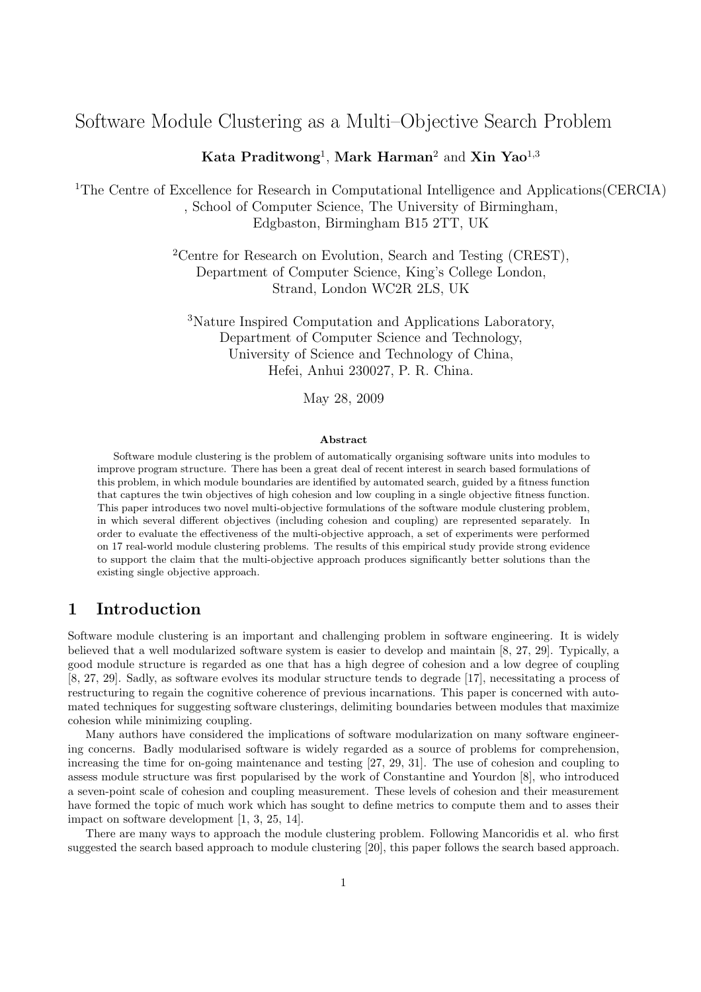# Software Module Clustering as a Multi–Objective Search Problem

Kata Praditwong<sup>1</sup>, Mark Harman $^2$  and Xin Yao $^{1,3}$ 

<sup>1</sup>The Centre of Excellence for Research in Computational Intelligence and Applications(CERCIA) , School of Computer Science, The University of Birmingham, Edgbaston, Birmingham B15 2TT, UK

> ${}^{2}$ Centre for Research on Evolution, Search and Testing (CREST), Department of Computer Science, King's College London, Strand, London WC2R 2LS, UK

<sup>3</sup>Nature Inspired Computation and Applications Laboratory, Department of Computer Science and Technology, University of Science and Technology of China, Hefei, Anhui 230027, P. R. China.

May 28, 2009

#### Abstract

Software module clustering is the problem of automatically organising software units into modules to improve program structure. There has been a great deal of recent interest in search based formulations of this problem, in which module boundaries are identified by automated search, guided by a fitness function that captures the twin objectives of high cohesion and low coupling in a single objective fitness function. This paper introduces two novel multi-objective formulations of the software module clustering problem, in which several different objectives (including cohesion and coupling) are represented separately. In order to evaluate the effectiveness of the multi-objective approach, a set of experiments were performed on 17 real-world module clustering problems. The results of this empirical study provide strong evidence to support the claim that the multi-objective approach produces significantly better solutions than the existing single objective approach.

### 1 Introduction

Software module clustering is an important and challenging problem in software engineering. It is widely believed that a well modularized software system is easier to develop and maintain [8, 27, 29]. Typically, a good module structure is regarded as one that has a high degree of cohesion and a low degree of coupling [8, 27, 29]. Sadly, as software evolves its modular structure tends to degrade [17], necessitating a process of restructuring to regain the cognitive coherence of previous incarnations. This paper is concerned with automated techniques for suggesting software clusterings, delimiting boundaries between modules that maximize cohesion while minimizing coupling.

Many authors have considered the implications of software modularization on many software engineering concerns. Badly modularised software is widely regarded as a source of problems for comprehension, increasing the time for on-going maintenance and testing [27, 29, 31]. The use of cohesion and coupling to assess module structure was first popularised by the work of Constantine and Yourdon [8], who introduced a seven-point scale of cohesion and coupling measurement. These levels of cohesion and their measurement have formed the topic of much work which has sought to define metrics to compute them and to asses their impact on software development [1, 3, 25, 14].

There are many ways to approach the module clustering problem. Following Mancoridis et al. who first suggested the search based approach to module clustering [20], this paper follows the search based approach.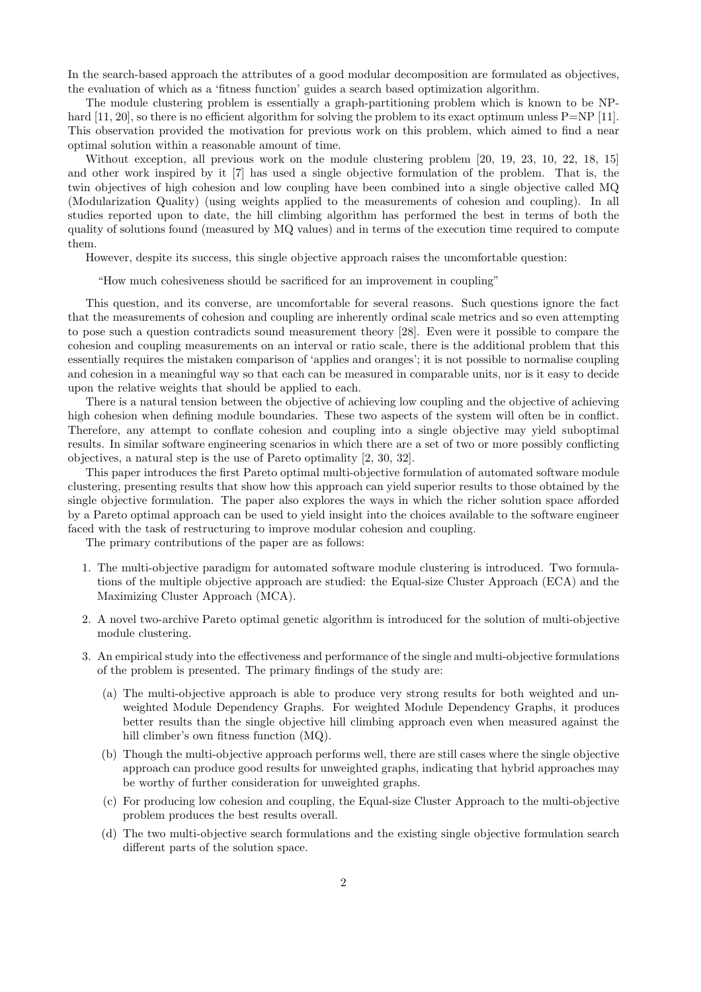In the search-based approach the attributes of a good modular decomposition are formulated as objectives, the evaluation of which as a 'fitness function' guides a search based optimization algorithm.

The module clustering problem is essentially a graph-partitioning problem which is known to be NPhard [11, 20], so there is no efficient algorithm for solving the problem to its exact optimum unless P=NP [11]. This observation provided the motivation for previous work on this problem, which aimed to find a near optimal solution within a reasonable amount of time.

Without exception, all previous work on the module clustering problem [20, 19, 23, 10, 22, 18, 15] and other work inspired by it [7] has used a single objective formulation of the problem. That is, the twin objectives of high cohesion and low coupling have been combined into a single objective called MQ (Modularization Quality) (using weights applied to the measurements of cohesion and coupling). In all studies reported upon to date, the hill climbing algorithm has performed the best in terms of both the quality of solutions found (measured by MQ values) and in terms of the execution time required to compute them.

However, despite its success, this single objective approach raises the uncomfortable question:

"How much cohesiveness should be sacrificed for an improvement in coupling"

This question, and its converse, are uncomfortable for several reasons. Such questions ignore the fact that the measurements of cohesion and coupling are inherently ordinal scale metrics and so even attempting to pose such a question contradicts sound measurement theory [28]. Even were it possible to compare the cohesion and coupling measurements on an interval or ratio scale, there is the additional problem that this essentially requires the mistaken comparison of 'applies and oranges'; it is not possible to normalise coupling and cohesion in a meaningful way so that each can be measured in comparable units, nor is it easy to decide upon the relative weights that should be applied to each.

There is a natural tension between the objective of achieving low coupling and the objective of achieving high cohesion when defining module boundaries. These two aspects of the system will often be in conflict. Therefore, any attempt to conflate cohesion and coupling into a single objective may yield suboptimal results. In similar software engineering scenarios in which there are a set of two or more possibly conflicting objectives, a natural step is the use of Pareto optimality [2, 30, 32].

This paper introduces the first Pareto optimal multi-objective formulation of automated software module clustering, presenting results that show how this approach can yield superior results to those obtained by the single objective formulation. The paper also explores the ways in which the richer solution space afforded by a Pareto optimal approach can be used to yield insight into the choices available to the software engineer faced with the task of restructuring to improve modular cohesion and coupling.

The primary contributions of the paper are as follows:

- 1. The multi-objective paradigm for automated software module clustering is introduced. Two formulations of the multiple objective approach are studied: the Equal-size Cluster Approach (ECA) and the Maximizing Cluster Approach (MCA).
- 2. A novel two-archive Pareto optimal genetic algorithm is introduced for the solution of multi-objective module clustering.
- 3. An empirical study into the effectiveness and performance of the single and multi-objective formulations of the problem is presented. The primary findings of the study are:
	- (a) The multi-objective approach is able to produce very strong results for both weighted and unweighted Module Dependency Graphs. For weighted Module Dependency Graphs, it produces better results than the single objective hill climbing approach even when measured against the hill climber's own fitness function  $(MQ)$ .
	- (b) Though the multi-objective approach performs well, there are still cases where the single objective approach can produce good results for unweighted graphs, indicating that hybrid approaches may be worthy of further consideration for unweighted graphs.
	- (c) For producing low cohesion and coupling, the Equal-size Cluster Approach to the multi-objective problem produces the best results overall.
	- (d) The two multi-objective search formulations and the existing single objective formulation search different parts of the solution space.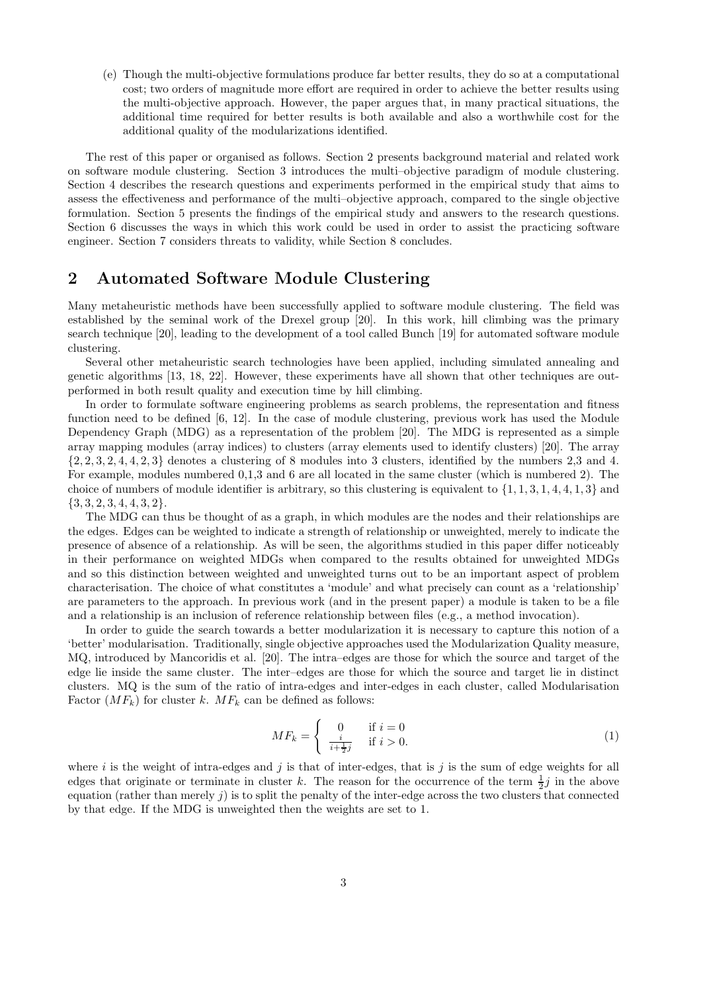(e) Though the multi-objective formulations produce far better results, they do so at a computational cost; two orders of magnitude more effort are required in order to achieve the better results using the multi-objective approach. However, the paper argues that, in many practical situations, the additional time required for better results is both available and also a worthwhile cost for the additional quality of the modularizations identified.

The rest of this paper or organised as follows. Section 2 presents background material and related work on software module clustering. Section 3 introduces the multi–objective paradigm of module clustering. Section 4 describes the research questions and experiments performed in the empirical study that aims to assess the effectiveness and performance of the multi–objective approach, compared to the single objective formulation. Section 5 presents the findings of the empirical study and answers to the research questions. Section 6 discusses the ways in which this work could be used in order to assist the practicing software engineer. Section 7 considers threats to validity, while Section 8 concludes.

## 2 Automated Software Module Clustering

Many metaheuristic methods have been successfully applied to software module clustering. The field was established by the seminal work of the Drexel group [20]. In this work, hill climbing was the primary search technique [20], leading to the development of a tool called Bunch [19] for automated software module clustering.

Several other metaheuristic search technologies have been applied, including simulated annealing and genetic algorithms [13, 18, 22]. However, these experiments have all shown that other techniques are outperformed in both result quality and execution time by hill climbing.

In order to formulate software engineering problems as search problems, the representation and fitness function need to be defined [6, 12]. In the case of module clustering, previous work has used the Module Dependency Graph (MDG) as a representation of the problem [20]. The MDG is represented as a simple array mapping modules (array indices) to clusters (array elements used to identify clusters) [20]. The array  $\{2, 2, 3, 2, 4, 4, 2, 3\}$  denotes a clustering of 8 modules into 3 clusters, identified by the numbers 2,3 and 4. For example, modules numbered 0,1,3 and 6 are all located in the same cluster (which is numbered 2). The choice of numbers of module identifier is arbitrary, so this clustering is equivalent to  $\{1, 1, 3, 1, 4, 4, 1, 3\}$  and  ${3, 3, 2, 3, 4, 4, 3, 2}.$ 

The MDG can thus be thought of as a graph, in which modules are the nodes and their relationships are the edges. Edges can be weighted to indicate a strength of relationship or unweighted, merely to indicate the presence of absence of a relationship. As will be seen, the algorithms studied in this paper differ noticeably in their performance on weighted MDGs when compared to the results obtained for unweighted MDGs and so this distinction between weighted and unweighted turns out to be an important aspect of problem characterisation. The choice of what constitutes a 'module' and what precisely can count as a 'relationship' are parameters to the approach. In previous work (and in the present paper) a module is taken to be a file and a relationship is an inclusion of reference relationship between files (e.g., a method invocation).

In order to guide the search towards a better modularization it is necessary to capture this notion of a 'better' modularisation. Traditionally, single objective approaches used the Modularization Quality measure, MQ, introduced by Mancoridis et al. [20]. The intra–edges are those for which the source and target of the edge lie inside the same cluster. The inter–edges are those for which the source and target lie in distinct clusters. MQ is the sum of the ratio of intra-edges and inter-edges in each cluster, called Modularisation Factor  $(MF_k)$  for cluster k.  $MF_k$  can be defined as follows:

$$
MF_k = \begin{cases} 0 & \text{if } i = 0\\ \frac{i}{i + \frac{1}{2}j} & \text{if } i > 0. \end{cases}
$$
 (1)

where  $i$  is the weight of intra-edges and  $j$  is that of inter-edges, that is  $j$  is the sum of edge weights for all edges that originate or terminate in cluster k. The reason for the occurrence of the term  $\frac{1}{2}j$  in the above equation (rather than merely  $j$ ) is to split the penalty of the inter-edge across the two clusters that connected by that edge. If the MDG is unweighted then the weights are set to 1.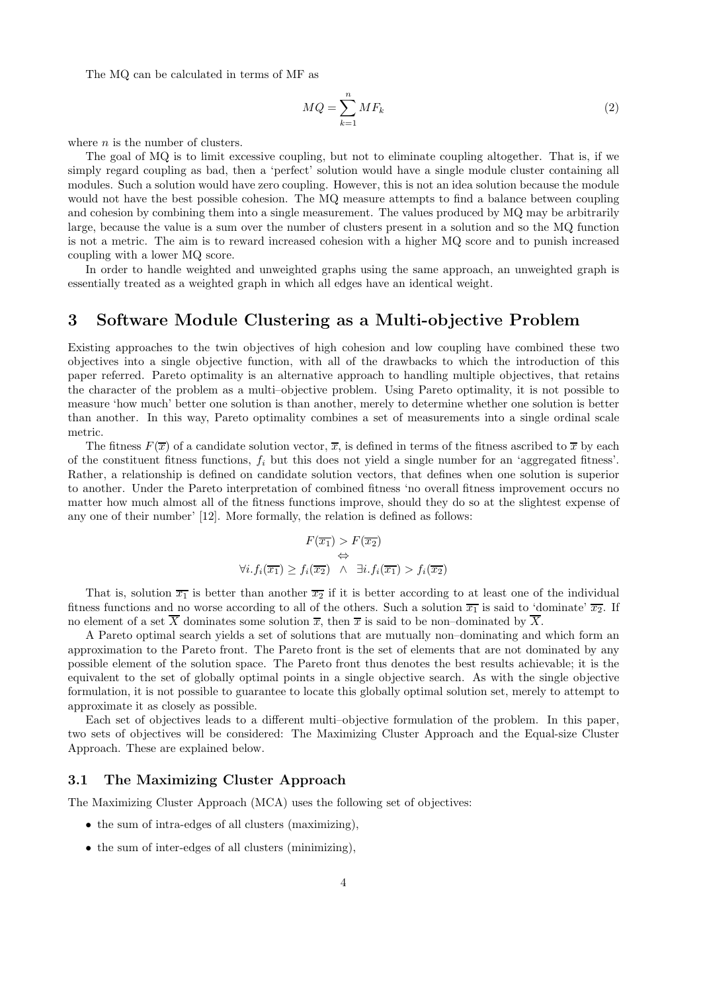The MQ can be calculated in terms of MF as

$$
MQ = \sum_{k=1}^{n} MF_k
$$
\n(2)

where  $n$  is the number of clusters.

The goal of MQ is to limit excessive coupling, but not to eliminate coupling altogether. That is, if we simply regard coupling as bad, then a 'perfect' solution would have a single module cluster containing all modules. Such a solution would have zero coupling. However, this is not an idea solution because the module would not have the best possible cohesion. The MQ measure attempts to find a balance between coupling and cohesion by combining them into a single measurement. The values produced by MQ may be arbitrarily large, because the value is a sum over the number of clusters present in a solution and so the MQ function is not a metric. The aim is to reward increased cohesion with a higher MQ score and to punish increased coupling with a lower MQ score.

In order to handle weighted and unweighted graphs using the same approach, an unweighted graph is essentially treated as a weighted graph in which all edges have an identical weight.

### 3 Software Module Clustering as a Multi-objective Problem

Existing approaches to the twin objectives of high cohesion and low coupling have combined these two objectives into a single objective function, with all of the drawbacks to which the introduction of this paper referred. Pareto optimality is an alternative approach to handling multiple objectives, that retains the character of the problem as a multi–objective problem. Using Pareto optimality, it is not possible to measure 'how much' better one solution is than another, merely to determine whether one solution is better than another. In this way, Pareto optimality combines a set of measurements into a single ordinal scale metric.

The fitness  $F(\overline{x})$  of a candidate solution vector,  $\overline{x}$ , is defined in terms of the fitness ascribed to  $\overline{x}$  by each of the constituent fitness functions,  $f_i$  but this does not yield a single number for an 'aggregated fitness'. Rather, a relationship is defined on candidate solution vectors, that defines when one solution is superior to another. Under the Pareto interpretation of combined fitness 'no overall fitness improvement occurs no matter how much almost all of the fitness functions improve, should they do so at the slightest expense of any one of their number' [12]. More formally, the relation is defined as follows:

$$
F(\overline{x_1}) > F(\overline{x_2})
$$
  
\n
$$
\Leftrightarrow
$$
  
\n
$$
\forall i. f_i(\overline{x_1}) \ge f_i(\overline{x_2}) \land \exists i. f_i(\overline{x_1}) > f_i(\overline{x_2})
$$

That is, solution  $\overline{x_1}$  is better than another  $\overline{x_2}$  if it is better according to at least one of the individual fitness functions and no worse according to all of the others. Such a solution  $\overline{x_1}$  is said to 'dominate'  $\overline{x_2}$ . If no element of a set  $\overline{X}$  dominates some solution  $\overline{x}$ , then  $\overline{x}$  is said to be non-dominated by  $\overline{X}$ .

A Pareto optimal search yields a set of solutions that are mutually non–dominating and which form an approximation to the Pareto front. The Pareto front is the set of elements that are not dominated by any possible element of the solution space. The Pareto front thus denotes the best results achievable; it is the equivalent to the set of globally optimal points in a single objective search. As with the single objective formulation, it is not possible to guarantee to locate this globally optimal solution set, merely to attempt to approximate it as closely as possible.

Each set of objectives leads to a different multi–objective formulation of the problem. In this paper, two sets of objectives will be considered: The Maximizing Cluster Approach and the Equal-size Cluster Approach. These are explained below.

#### 3.1 The Maximizing Cluster Approach

The Maximizing Cluster Approach (MCA) uses the following set of objectives:

- the sum of intra-edges of all clusters (maximizing),
- the sum of inter-edges of all clusters (minimizing),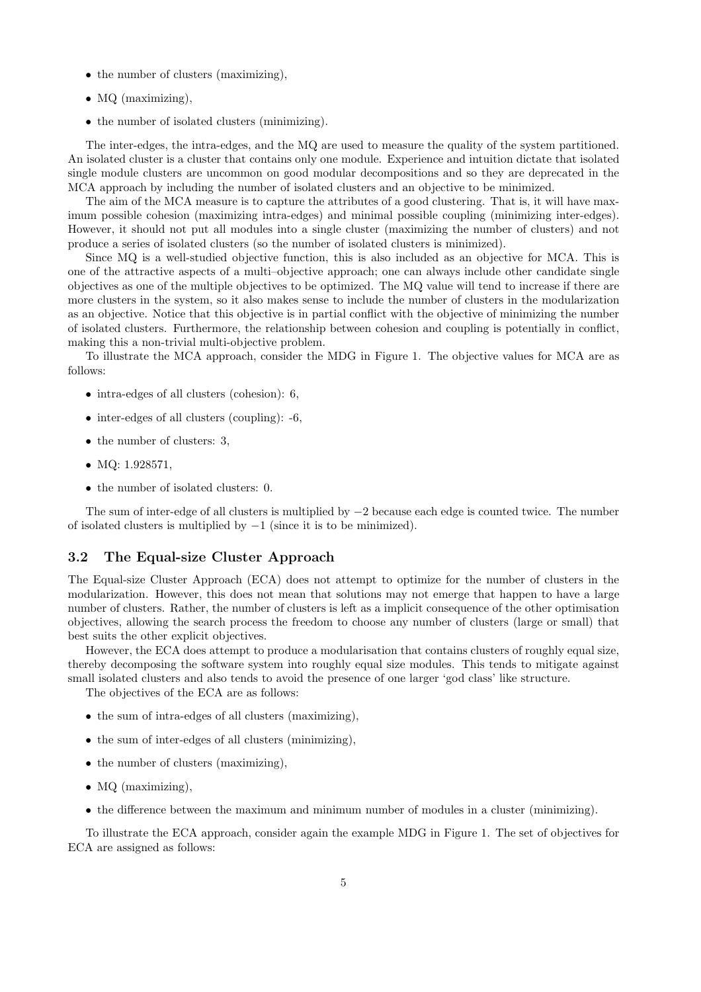- the number of clusters (maximizing),
- MQ (maximizing),
- the number of isolated clusters (minimizing).

The inter-edges, the intra-edges, and the MQ are used to measure the quality of the system partitioned. An isolated cluster is a cluster that contains only one module. Experience and intuition dictate that isolated single module clusters are uncommon on good modular decompositions and so they are deprecated in the MCA approach by including the number of isolated clusters and an objective to be minimized.

The aim of the MCA measure is to capture the attributes of a good clustering. That is, it will have maximum possible cohesion (maximizing intra-edges) and minimal possible coupling (minimizing inter-edges). However, it should not put all modules into a single cluster (maximizing the number of clusters) and not produce a series of isolated clusters (so the number of isolated clusters is minimized).

Since MQ is a well-studied objective function, this is also included as an objective for MCA. This is one of the attractive aspects of a multi–objective approach; one can always include other candidate single objectives as one of the multiple objectives to be optimized. The MQ value will tend to increase if there are more clusters in the system, so it also makes sense to include the number of clusters in the modularization as an objective. Notice that this objective is in partial conflict with the objective of minimizing the number of isolated clusters. Furthermore, the relationship between cohesion and coupling is potentially in conflict, making this a non-trivial multi-objective problem.

To illustrate the MCA approach, consider the MDG in Figure 1. The objective values for MCA are as follows:

- intra-edges of all clusters (cohesion): 6,
- inter-edges of all clusters (coupling): -6,
- the number of clusters: 3,
- MQ: 1.928571,
- the number of isolated clusters: 0.

The sum of inter-edge of all clusters is multiplied by −2 because each edge is counted twice. The number of isolated clusters is multiplied by −1 (since it is to be minimized).

#### 3.2 The Equal-size Cluster Approach

The Equal-size Cluster Approach (ECA) does not attempt to optimize for the number of clusters in the modularization. However, this does not mean that solutions may not emerge that happen to have a large number of clusters. Rather, the number of clusters is left as a implicit consequence of the other optimisation objectives, allowing the search process the freedom to choose any number of clusters (large or small) that best suits the other explicit objectives.

However, the ECA does attempt to produce a modularisation that contains clusters of roughly equal size, thereby decomposing the software system into roughly equal size modules. This tends to mitigate against small isolated clusters and also tends to avoid the presence of one larger 'god class' like structure.

The objectives of the ECA are as follows:

- the sum of intra-edges of all clusters (maximizing),
- the sum of inter-edges of all clusters (minimizing),
- the number of clusters (maximizing),
- MQ (maximizing),
- the difference between the maximum and minimum number of modules in a cluster (minimizing).

To illustrate the ECA approach, consider again the example MDG in Figure 1. The set of objectives for ECA are assigned as follows: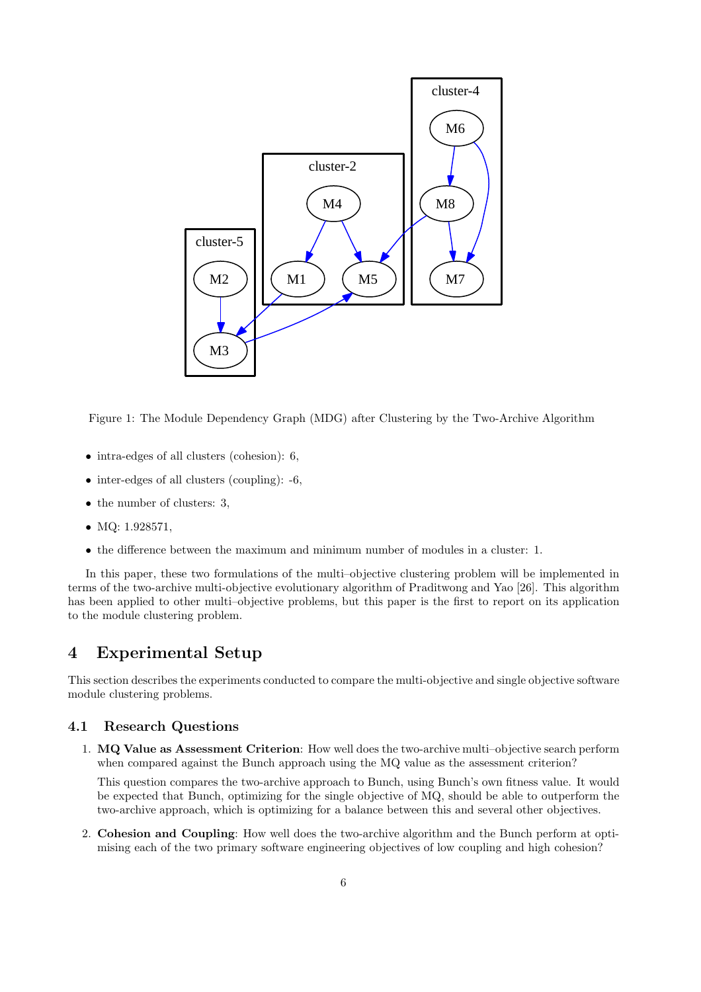

Figure 1: The Module Dependency Graph (MDG) after Clustering by the Two-Archive Algorithm

- intra-edges of all clusters (cohesion): 6,
- inter-edges of all clusters (coupling): -6,
- the number of clusters: 3,
- MQ: 1.928571,
- the difference between the maximum and minimum number of modules in a cluster: 1.

In this paper, these two formulations of the multi–objective clustering problem will be implemented in terms of the two-archive multi-objective evolutionary algorithm of Praditwong and Yao [26]. This algorithm has been applied to other multi–objective problems, but this paper is the first to report on its application to the module clustering problem.

### 4 Experimental Setup

This section describes the experiments conducted to compare the multi-objective and single objective software module clustering problems.

### 4.1 Research Questions

1. MQ Value as Assessment Criterion: How well does the two-archive multi–objective search perform when compared against the Bunch approach using the MQ value as the assessment criterion?

This question compares the two-archive approach to Bunch, using Bunch's own fitness value. It would be expected that Bunch, optimizing for the single objective of MQ, should be able to outperform the two-archive approach, which is optimizing for a balance between this and several other objectives.

2. Cohesion and Coupling: How well does the two-archive algorithm and the Bunch perform at optimising each of the two primary software engineering objectives of low coupling and high cohesion?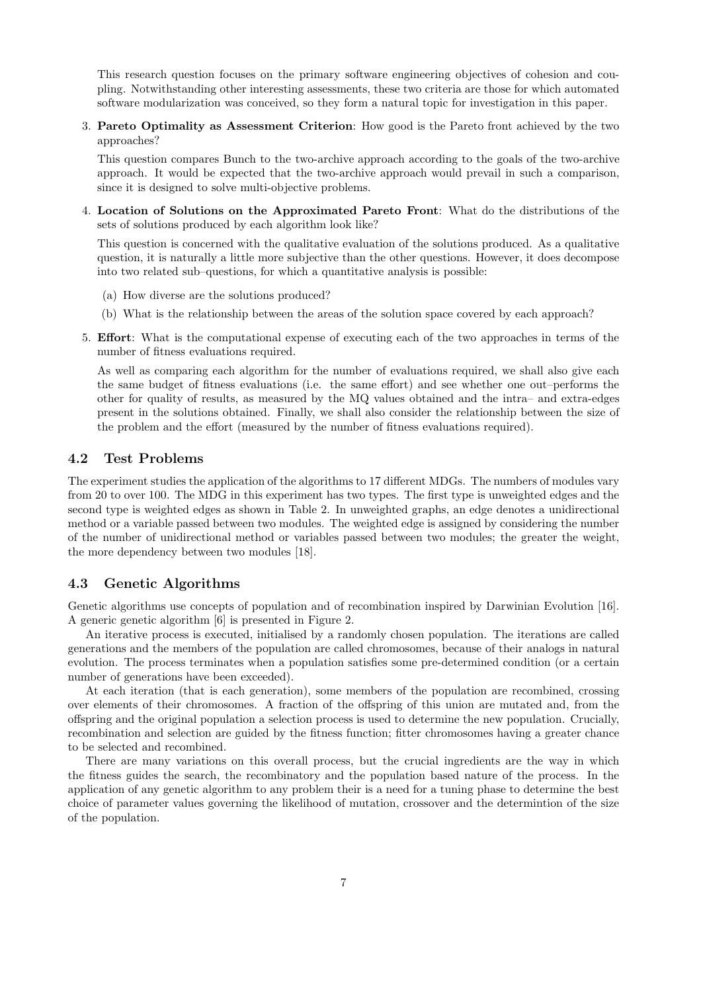This research question focuses on the primary software engineering objectives of cohesion and coupling. Notwithstanding other interesting assessments, these two criteria are those for which automated software modularization was conceived, so they form a natural topic for investigation in this paper.

3. Pareto Optimality as Assessment Criterion: How good is the Pareto front achieved by the two approaches?

This question compares Bunch to the two-archive approach according to the goals of the two-archive approach. It would be expected that the two-archive approach would prevail in such a comparison, since it is designed to solve multi-objective problems.

4. Location of Solutions on the Approximated Pareto Front: What do the distributions of the sets of solutions produced by each algorithm look like?

This question is concerned with the qualitative evaluation of the solutions produced. As a qualitative question, it is naturally a little more subjective than the other questions. However, it does decompose into two related sub–questions, for which a quantitative analysis is possible:

- (a) How diverse are the solutions produced?
- (b) What is the relationship between the areas of the solution space covered by each approach?
- 5. Effort: What is the computational expense of executing each of the two approaches in terms of the number of fitness evaluations required.

As well as comparing each algorithm for the number of evaluations required, we shall also give each the same budget of fitness evaluations (i.e. the same effort) and see whether one out–performs the other for quality of results, as measured by the MQ values obtained and the intra– and extra-edges present in the solutions obtained. Finally, we shall also consider the relationship between the size of the problem and the effort (measured by the number of fitness evaluations required).

### 4.2 Test Problems

The experiment studies the application of the algorithms to 17 different MDGs. The numbers of modules vary from 20 to over 100. The MDG in this experiment has two types. The first type is unweighted edges and the second type is weighted edges as shown in Table 2. In unweighted graphs, an edge denotes a unidirectional method or a variable passed between two modules. The weighted edge is assigned by considering the number of the number of unidirectional method or variables passed between two modules; the greater the weight, the more dependency between two modules [18].

#### 4.3 Genetic Algorithms

Genetic algorithms use concepts of population and of recombination inspired by Darwinian Evolution [16]. A generic genetic algorithm [6] is presented in Figure 2.

An iterative process is executed, initialised by a randomly chosen population. The iterations are called generations and the members of the population are called chromosomes, because of their analogs in natural evolution. The process terminates when a population satisfies some pre-determined condition (or a certain number of generations have been exceeded).

At each iteration (that is each generation), some members of the population are recombined, crossing over elements of their chromosomes. A fraction of the offspring of this union are mutated and, from the offspring and the original population a selection process is used to determine the new population. Crucially, recombination and selection are guided by the fitness function; fitter chromosomes having a greater chance to be selected and recombined.

There are many variations on this overall process, but the crucial ingredients are the way in which the fitness guides the search, the recombinatory and the population based nature of the process. In the application of any genetic algorithm to any problem their is a need for a tuning phase to determine the best choice of parameter values governing the likelihood of mutation, crossover and the determintion of the size of the population.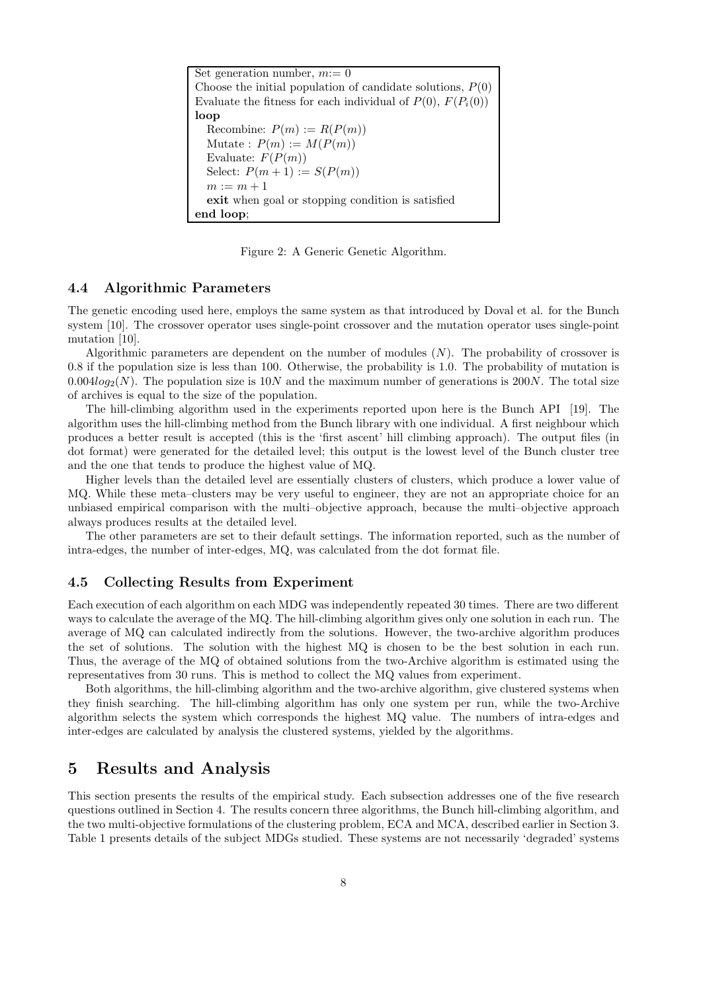Set generation number,  $m=0$ Choose the initial population of candidate solutions,  $P(0)$ Evaluate the fitness for each individual of  $P(0)$ ,  $F(P<sub>i</sub>(0))$ loop Recombine:  $P(m) := R(P(m))$ Mutate :  $P(m) := M(P(m))$ Evaluate:  $F(P(m))$ Select:  $P(m+1) := S(P(m))$  $m := m + 1$ exit when goal or stopping condition is satisfied end loop;

Figure 2: A Generic Genetic Algorithm.

#### 4.4 Algorithmic Parameters

The genetic encoding used here, employs the same system as that introduced by Doval et al. for the Bunch system [10]. The crossover operator uses single-point crossover and the mutation operator uses single-point mutation [10].

Algorithmic parameters are dependent on the number of modules  $(N)$ . The probability of crossover is 0.8 if the population size is less than 100. Otherwise, the probability is 1.0. The probability of mutation is  $0.004\log_2(N)$ . The population size is 10N and the maximum number of generations is 200N. The total size of archives is equal to the size of the population.

The hill-climbing algorithm used in the experiments reported upon here is the Bunch API [19]. The algorithm uses the hill-climbing method from the Bunch library with one individual. A first neighbour which produces a better result is accepted (this is the 'first ascent' hill climbing approach). The output files (in dot format) were generated for the detailed level; this output is the lowest level of the Bunch cluster tree and the one that tends to produce the highest value of MQ.

Higher levels than the detailed level are essentially clusters of clusters, which produce a lower value of MQ. While these meta–clusters may be very useful to engineer, they are not an appropriate choice for an unbiased empirical comparison with the multi–objective approach, because the multi–objective approach always produces results at the detailed level.

The other parameters are set to their default settings. The information reported, such as the number of intra-edges, the number of inter-edges, MQ, was calculated from the dot format file.

#### 4.5 Collecting Results from Experiment

Each execution of each algorithm on each MDG was independently repeated 30 times. There are two different ways to calculate the average of the MQ. The hill-climbing algorithm gives only one solution in each run. The average of MQ can calculated indirectly from the solutions. However, the two-archive algorithm produces the set of solutions. The solution with the highest MQ is chosen to be the best solution in each run. Thus, the average of the MQ of obtained solutions from the two-Archive algorithm is estimated using the representatives from 30 runs. This is method to collect the MQ values from experiment.

Both algorithms, the hill-climbing algorithm and the two-archive algorithm, give clustered systems when they finish searching. The hill-climbing algorithm has only one system per run, while the two-Archive algorithm selects the system which corresponds the highest MQ value. The numbers of intra-edges and inter-edges are calculated by analysis the clustered systems, yielded by the algorithms.

### 5 Results and Analysis

This section presents the results of the empirical study. Each subsection addresses one of the five research questions outlined in Section 4. The results concern three algorithms, the Bunch hill-climbing algorithm, and the two multi-objective formulations of the clustering problem, ECA and MCA, described earlier in Section 3. Table 1 presents details of the subject MDGs studied. These systems are not necessarily 'degraded' systems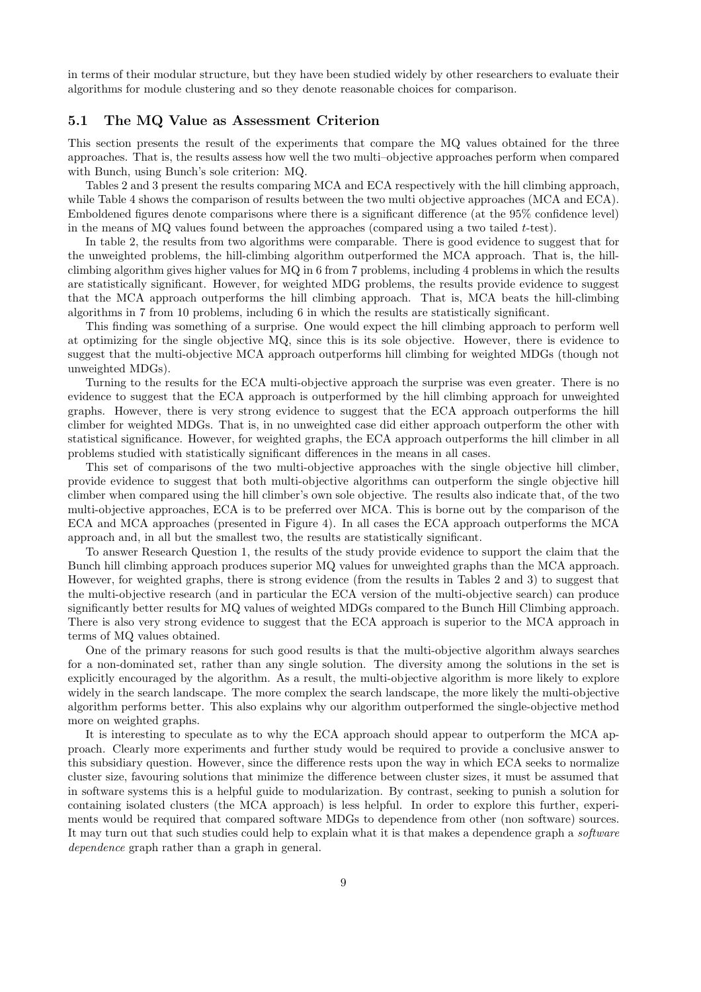in terms of their modular structure, but they have been studied widely by other researchers to evaluate their algorithms for module clustering and so they denote reasonable choices for comparison.

#### 5.1 The MQ Value as Assessment Criterion

This section presents the result of the experiments that compare the MQ values obtained for the three approaches. That is, the results assess how well the two multi–objective approaches perform when compared with Bunch, using Bunch's sole criterion: MQ.

Tables 2 and 3 present the results comparing MCA and ECA respectively with the hill climbing approach, while Table 4 shows the comparison of results between the two multi objective approaches (MCA and ECA). Emboldened figures denote comparisons where there is a significant difference (at the 95% confidence level) in the means of  $MQ$  values found between the approaches (compared using a two tailed t-test).

In table 2, the results from two algorithms were comparable. There is good evidence to suggest that for the unweighted problems, the hill-climbing algorithm outperformed the MCA approach. That is, the hillclimbing algorithm gives higher values for MQ in 6 from 7 problems, including 4 problems in which the results are statistically significant. However, for weighted MDG problems, the results provide evidence to suggest that the MCA approach outperforms the hill climbing approach. That is, MCA beats the hill-climbing algorithms in 7 from 10 problems, including 6 in which the results are statistically significant.

This finding was something of a surprise. One would expect the hill climbing approach to perform well at optimizing for the single objective MQ, since this is its sole objective. However, there is evidence to suggest that the multi-objective MCA approach outperforms hill climbing for weighted MDGs (though not unweighted MDGs).

Turning to the results for the ECA multi-objective approach the surprise was even greater. There is no evidence to suggest that the ECA approach is outperformed by the hill climbing approach for unweighted graphs. However, there is very strong evidence to suggest that the ECA approach outperforms the hill climber for weighted MDGs. That is, in no unweighted case did either approach outperform the other with statistical significance. However, for weighted graphs, the ECA approach outperforms the hill climber in all problems studied with statistically significant differences in the means in all cases.

This set of comparisons of the two multi-objective approaches with the single objective hill climber, provide evidence to suggest that both multi-objective algorithms can outperform the single objective hill climber when compared using the hill climber's own sole objective. The results also indicate that, of the two multi-objective approaches, ECA is to be preferred over MCA. This is borne out by the comparison of the ECA and MCA approaches (presented in Figure 4). In all cases the ECA approach outperforms the MCA approach and, in all but the smallest two, the results are statistically significant.

To answer Research Question 1, the results of the study provide evidence to support the claim that the Bunch hill climbing approach produces superior MQ values for unweighted graphs than the MCA approach. However, for weighted graphs, there is strong evidence (from the results in Tables 2 and 3) to suggest that the multi-objective research (and in particular the ECA version of the multi-objective search) can produce significantly better results for MQ values of weighted MDGs compared to the Bunch Hill Climbing approach. There is also very strong evidence to suggest that the ECA approach is superior to the MCA approach in terms of MQ values obtained.

One of the primary reasons for such good results is that the multi-objective algorithm always searches for a non-dominated set, rather than any single solution. The diversity among the solutions in the set is explicitly encouraged by the algorithm. As a result, the multi-objective algorithm is more likely to explore widely in the search landscape. The more complex the search landscape, the more likely the multi-objective algorithm performs better. This also explains why our algorithm outperformed the single-objective method more on weighted graphs.

It is interesting to speculate as to why the ECA approach should appear to outperform the MCA approach. Clearly more experiments and further study would be required to provide a conclusive answer to this subsidiary question. However, since the difference rests upon the way in which ECA seeks to normalize cluster size, favouring solutions that minimize the difference between cluster sizes, it must be assumed that in software systems this is a helpful guide to modularization. By contrast, seeking to punish a solution for containing isolated clusters (the MCA approach) is less helpful. In order to explore this further, experiments would be required that compared software MDGs to dependence from other (non software) sources. It may turn out that such studies could help to explain what it is that makes a dependence graph a *software* dependence graph rather than a graph in general.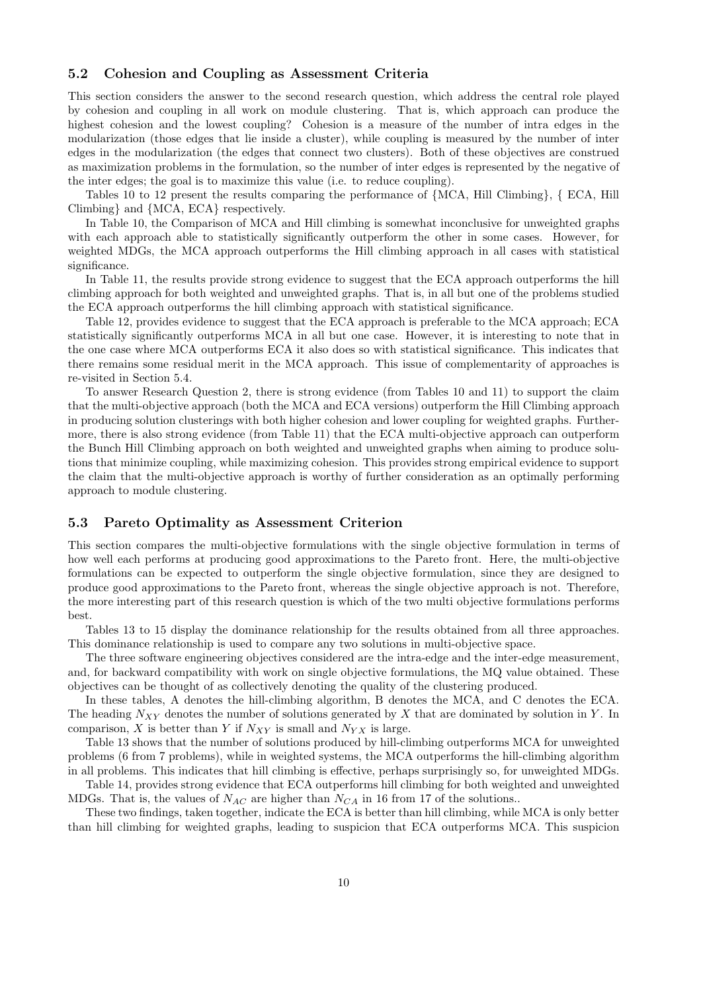#### 5.2 Cohesion and Coupling as Assessment Criteria

This section considers the answer to the second research question, which address the central role played by cohesion and coupling in all work on module clustering. That is, which approach can produce the highest cohesion and the lowest coupling? Cohesion is a measure of the number of intra edges in the modularization (those edges that lie inside a cluster), while coupling is measured by the number of inter edges in the modularization (the edges that connect two clusters). Both of these objectives are construed as maximization problems in the formulation, so the number of inter edges is represented by the negative of the inter edges; the goal is to maximize this value (i.e. to reduce coupling).

Tables 10 to 12 present the results comparing the performance of {MCA, Hill Climbing}, { ECA, Hill Climbing} and {MCA, ECA} respectively.

In Table 10, the Comparison of MCA and Hill climbing is somewhat inconclusive for unweighted graphs with each approach able to statistically significantly outperform the other in some cases. However, for weighted MDGs, the MCA approach outperforms the Hill climbing approach in all cases with statistical significance.

In Table 11, the results provide strong evidence to suggest that the ECA approach outperforms the hill climbing approach for both weighted and unweighted graphs. That is, in all but one of the problems studied the ECA approach outperforms the hill climbing approach with statistical significance.

Table 12, provides evidence to suggest that the ECA approach is preferable to the MCA approach; ECA statistically significantly outperforms MCA in all but one case. However, it is interesting to note that in the one case where MCA outperforms ECA it also does so with statistical significance. This indicates that there remains some residual merit in the MCA approach. This issue of complementarity of approaches is re-visited in Section 5.4.

To answer Research Question 2, there is strong evidence (from Tables 10 and 11) to support the claim that the multi-objective approach (both the MCA and ECA versions) outperform the Hill Climbing approach in producing solution clusterings with both higher cohesion and lower coupling for weighted graphs. Furthermore, there is also strong evidence (from Table 11) that the ECA multi-objective approach can outperform the Bunch Hill Climbing approach on both weighted and unweighted graphs when aiming to produce solutions that minimize coupling, while maximizing cohesion. This provides strong empirical evidence to support the claim that the multi-objective approach is worthy of further consideration as an optimally performing approach to module clustering.

#### 5.3 Pareto Optimality as Assessment Criterion

This section compares the multi-objective formulations with the single objective formulation in terms of how well each performs at producing good approximations to the Pareto front. Here, the multi-objective formulations can be expected to outperform the single objective formulation, since they are designed to produce good approximations to the Pareto front, whereas the single objective approach is not. Therefore, the more interesting part of this research question is which of the two multi objective formulations performs best.

Tables 13 to 15 display the dominance relationship for the results obtained from all three approaches. This dominance relationship is used to compare any two solutions in multi-objective space.

The three software engineering objectives considered are the intra-edge and the inter-edge measurement, and, for backward compatibility with work on single objective formulations, the MQ value obtained. These objectives can be thought of as collectively denoting the quality of the clustering produced.

In these tables, A denotes the hill-climbing algorithm, B denotes the MCA, and C denotes the ECA. The heading  $N_{XY}$  denotes the number of solutions generated by X that are dominated by solution in Y. In comparison, X is better than Y if  $N_{XY}$  is small and  $N_{YX}$  is large.

Table 13 shows that the number of solutions produced by hill-climbing outperforms MCA for unweighted problems (6 from 7 problems), while in weighted systems, the MCA outperforms the hill-climbing algorithm in all problems. This indicates that hill climbing is effective, perhaps surprisingly so, for unweighted MDGs.

Table 14, provides strong evidence that ECA outperforms hill climbing for both weighted and unweighted MDGs. That is, the values of  $N_{AC}$  are higher than  $N_{CA}$  in 16 from 17 of the solutions..

These two findings, taken together, indicate the ECA is better than hill climbing, while MCA is only better than hill climbing for weighted graphs, leading to suspicion that ECA outperforms MCA. This suspicion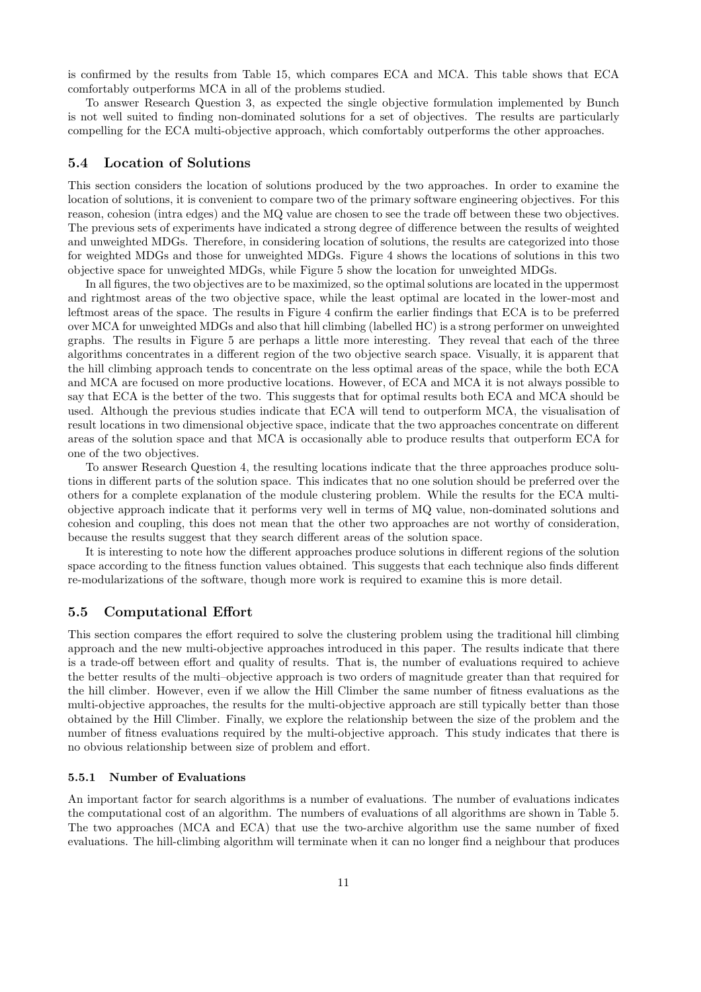is confirmed by the results from Table 15, which compares ECA and MCA. This table shows that ECA comfortably outperforms MCA in all of the problems studied.

To answer Research Question 3, as expected the single objective formulation implemented by Bunch is not well suited to finding non-dominated solutions for a set of objectives. The results are particularly compelling for the ECA multi-objective approach, which comfortably outperforms the other approaches.

#### 5.4 Location of Solutions

This section considers the location of solutions produced by the two approaches. In order to examine the location of solutions, it is convenient to compare two of the primary software engineering objectives. For this reason, cohesion (intra edges) and the MQ value are chosen to see the trade off between these two objectives. The previous sets of experiments have indicated a strong degree of difference between the results of weighted and unweighted MDGs. Therefore, in considering location of solutions, the results are categorized into those for weighted MDGs and those for unweighted MDGs. Figure 4 shows the locations of solutions in this two objective space for unweighted MDGs, while Figure 5 show the location for unweighted MDGs.

In all figures, the two objectives are to be maximized, so the optimal solutions are located in the uppermost and rightmost areas of the two objective space, while the least optimal are located in the lower-most and leftmost areas of the space. The results in Figure 4 confirm the earlier findings that ECA is to be preferred over MCA for unweighted MDGs and also that hill climbing (labelled HC) is a strong performer on unweighted graphs. The results in Figure 5 are perhaps a little more interesting. They reveal that each of the three algorithms concentrates in a different region of the two objective search space. Visually, it is apparent that the hill climbing approach tends to concentrate on the less optimal areas of the space, while the both ECA and MCA are focused on more productive locations. However, of ECA and MCA it is not always possible to say that ECA is the better of the two. This suggests that for optimal results both ECA and MCA should be used. Although the previous studies indicate that ECA will tend to outperform MCA, the visualisation of result locations in two dimensional objective space, indicate that the two approaches concentrate on different areas of the solution space and that MCA is occasionally able to produce results that outperform ECA for one of the two objectives.

To answer Research Question 4, the resulting locations indicate that the three approaches produce solutions in different parts of the solution space. This indicates that no one solution should be preferred over the others for a complete explanation of the module clustering problem. While the results for the ECA multiobjective approach indicate that it performs very well in terms of MQ value, non-dominated solutions and cohesion and coupling, this does not mean that the other two approaches are not worthy of consideration, because the results suggest that they search different areas of the solution space.

It is interesting to note how the different approaches produce solutions in different regions of the solution space according to the fitness function values obtained. This suggests that each technique also finds different re-modularizations of the software, though more work is required to examine this is more detail.

#### 5.5 Computational Effort

This section compares the effort required to solve the clustering problem using the traditional hill climbing approach and the new multi-objective approaches introduced in this paper. The results indicate that there is a trade-off between effort and quality of results. That is, the number of evaluations required to achieve the better results of the multi–objective approach is two orders of magnitude greater than that required for the hill climber. However, even if we allow the Hill Climber the same number of fitness evaluations as the multi-objective approaches, the results for the multi-objective approach are still typically better than those obtained by the Hill Climber. Finally, we explore the relationship between the size of the problem and the number of fitness evaluations required by the multi-objective approach. This study indicates that there is no obvious relationship between size of problem and effort.

#### 5.5.1 Number of Evaluations

An important factor for search algorithms is a number of evaluations. The number of evaluations indicates the computational cost of an algorithm. The numbers of evaluations of all algorithms are shown in Table 5. The two approaches (MCA and ECA) that use the two-archive algorithm use the same number of fixed evaluations. The hill-climbing algorithm will terminate when it can no longer find a neighbour that produces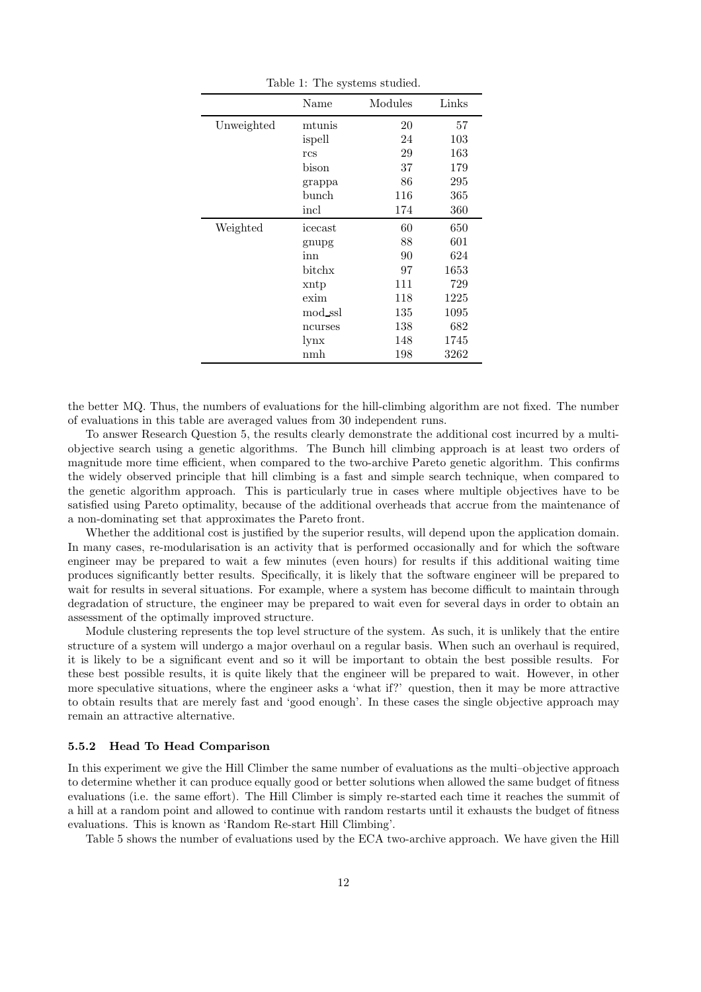|            | Name    | Modules | Links |
|------------|---------|---------|-------|
| Unweighted | mtunis  | 20      | 57    |
|            | ispell  | 24      | 103   |
|            | rcs     | 29      | 163   |
|            | bison   | 37      | 179   |
|            | grappa  | 86      | 295   |
|            | bunch   | 116     | 365   |
|            | incl    | 174     | 360   |
| Weighted   | icecast | 60      | 650   |
|            | gnupg   | 88      | 601   |
|            | inn     | 90      | 624   |
|            | bitchx  | 97      | 1653  |
|            | xntp    | 111     | 729   |
|            | exim    | 118     | 1225  |
|            | mod_ssl | 135     | 1095  |
|            | ncurses | 138     | 682   |
|            | lynx    | 148     | 1745  |
|            | nmh     | 198     | 3262  |

Table 1: The systems studied.

the better MQ. Thus, the numbers of evaluations for the hill-climbing algorithm are not fixed. The number of evaluations in this table are averaged values from 30 independent runs.

To answer Research Question 5, the results clearly demonstrate the additional cost incurred by a multiobjective search using a genetic algorithms. The Bunch hill climbing approach is at least two orders of magnitude more time efficient, when compared to the two-archive Pareto genetic algorithm. This confirms the widely observed principle that hill climbing is a fast and simple search technique, when compared to the genetic algorithm approach. This is particularly true in cases where multiple objectives have to be satisfied using Pareto optimality, because of the additional overheads that accrue from the maintenance of a non-dominating set that approximates the Pareto front.

Whether the additional cost is justified by the superior results, will depend upon the application domain. In many cases, re-modularisation is an activity that is performed occasionally and for which the software engineer may be prepared to wait a few minutes (even hours) for results if this additional waiting time produces significantly better results. Specifically, it is likely that the software engineer will be prepared to wait for results in several situations. For example, where a system has become difficult to maintain through degradation of structure, the engineer may be prepared to wait even for several days in order to obtain an assessment of the optimally improved structure.

Module clustering represents the top level structure of the system. As such, it is unlikely that the entire structure of a system will undergo a major overhaul on a regular basis. When such an overhaul is required, it is likely to be a significant event and so it will be important to obtain the best possible results. For these best possible results, it is quite likely that the engineer will be prepared to wait. However, in other more speculative situations, where the engineer asks a 'what if?' question, then it may be more attractive to obtain results that are merely fast and 'good enough'. In these cases the single objective approach may remain an attractive alternative.

#### 5.5.2 Head To Head Comparison

In this experiment we give the Hill Climber the same number of evaluations as the multi–objective approach to determine whether it can produce equally good or better solutions when allowed the same budget of fitness evaluations (i.e. the same effort). The Hill Climber is simply re-started each time it reaches the summit of a hill at a random point and allowed to continue with random restarts until it exhausts the budget of fitness evaluations. This is known as 'Random Re-start Hill Climbing'.

Table 5 shows the number of evaluations used by the ECA two-archive approach. We have given the Hill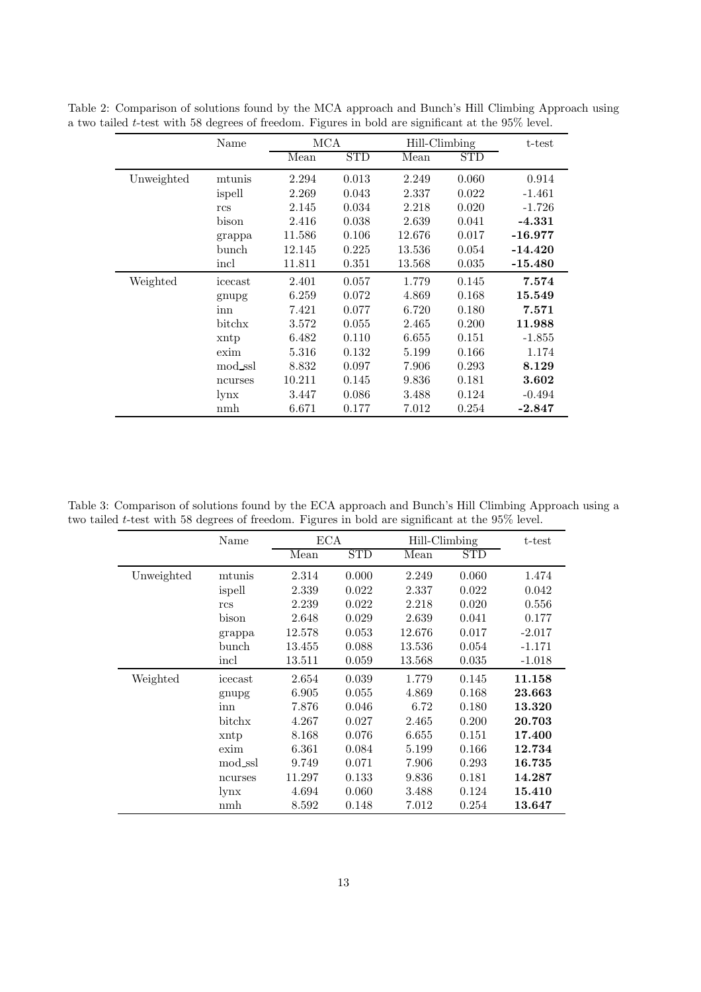|            | Name    | <b>MCA</b> |            | Hill-Climbing |            | t-test    |
|------------|---------|------------|------------|---------------|------------|-----------|
|            |         | Mean       | <b>STD</b> | Mean          | <b>STD</b> |           |
| Unweighted | mtunis  | 2.294      | 0.013      | 2.249         | 0.060      | 0.914     |
|            | ispell  | 2.269      | 0.043      | 2.337         | 0.022      | $-1.461$  |
|            | rcs     | 2.145      | 0.034      | 2.218         | 0.020      | $-1.726$  |
|            | bison   | 2.416      | 0.038      | 2.639         | 0.041      | $-4.331$  |
|            | grappa  | 11.586     | 0.106      | 12.676        | 0.017      | $-16.977$ |
|            | bunch   | 12.145     | 0.225      | 13.536        | 0.054      | $-14.420$ |
|            | incl    | 11.811     | 0.351      | 13.568        | 0.035      | $-15.480$ |
| Weighted   | icecast | 2.401      | 0.057      | 1.779         | 0.145      | 7.574     |
|            | gnupg   | 6.259      | 0.072      | 4.869         | 0.168      | 15.549    |
|            | inn     | 7.421      | 0.077      | 6.720         | 0.180      | 7.571     |
|            | bitchx  | 3.572      | 0.055      | 2.465         | 0.200      | 11.988    |
|            | xntp    | 6.482      | 0.110      | 6.655         | 0.151      | $-1.855$  |
|            | exim    | 5.316      | 0.132      | 5.199         | 0.166      | 1.174     |
|            | mod_ssl | 8.832      | 0.097      | 7.906         | 0.293      | 8.129     |
|            | ncurses | 10.211     | 0.145      | 9.836         | 0.181      | 3.602     |
|            | lynx    | 3.447      | 0.086      | 3.488         | 0.124      | $-0.494$  |
|            | nmh     | 6.671      | 0.177      | 7.012         | 0.254      | $-2.847$  |

Table 2: Comparison of solutions found by the MCA approach and Bunch's Hill Climbing Approach using a two tailed *t*-test with 58 degrees of freedom. Figures in bold are significant at the 95% level.

Table 3: Comparison of solutions found by the ECA approach and Bunch's Hill Climbing Approach using a two tailed *t*-test with 58 degrees of freedom. Figures in bold are significant at the  $95\%$  level.  $\overline{\phantom{a}}$ 

|            | Name    | <b>ECA</b> |            | Hill-Climbing |            | t-test   |
|------------|---------|------------|------------|---------------|------------|----------|
|            |         | Mean       | <b>STD</b> | Mean          | <b>STD</b> |          |
| Unweighted | mtunis  | 2.314      | 0.000      | 2.249         | 0.060      | 1.474    |
|            | ispell  | 2.339      | 0.022      | 2.337         | 0.022      | 0.042    |
|            | rcs     | 2.239      | 0.022      | 2.218         | 0.020      | 0.556    |
|            | bison   | 2.648      | 0.029      | 2.639         | 0.041      | 0.177    |
|            | grappa  | 12.578     | 0.053      | 12.676        | 0.017      | $-2.017$ |
|            | bunch   | 13.455     | 0.088      | 13.536        | 0.054      | $-1.171$ |
|            | incl    | 13.511     | 0.059      | 13.568        | 0.035      | $-1.018$ |
| Weighted   | icecast | 2.654      | 0.039      | 1.779         | 0.145      | 11.158   |
|            | gnupg   | 6.905      | 0.055      | 4.869         | 0.168      | 23.663   |
|            | inn     | 7.876      | 0.046      | 6.72          | 0.180      | 13.320   |
|            | bitchx  | 4.267      | 0.027      | 2.465         | 0.200      | 20.703   |
|            | xntp    | 8.168      | 0.076      | 6.655         | 0.151      | 17.400   |
|            | exim    | 6.361      | 0.084      | 5.199         | 0.166      | 12.734   |
|            | mod_ssl | 9.749      | 0.071      | 7.906         | 0.293      | 16.735   |
|            | ncurses | 11.297     | 0.133      | 9.836         | 0.181      | 14.287   |
|            | lynx    | 4.694      | 0.060      | 3.488         | 0.124      | 15.410   |
|            | nmh     | 8.592      | 0.148      | 7.012         | 0.254      | 13.647   |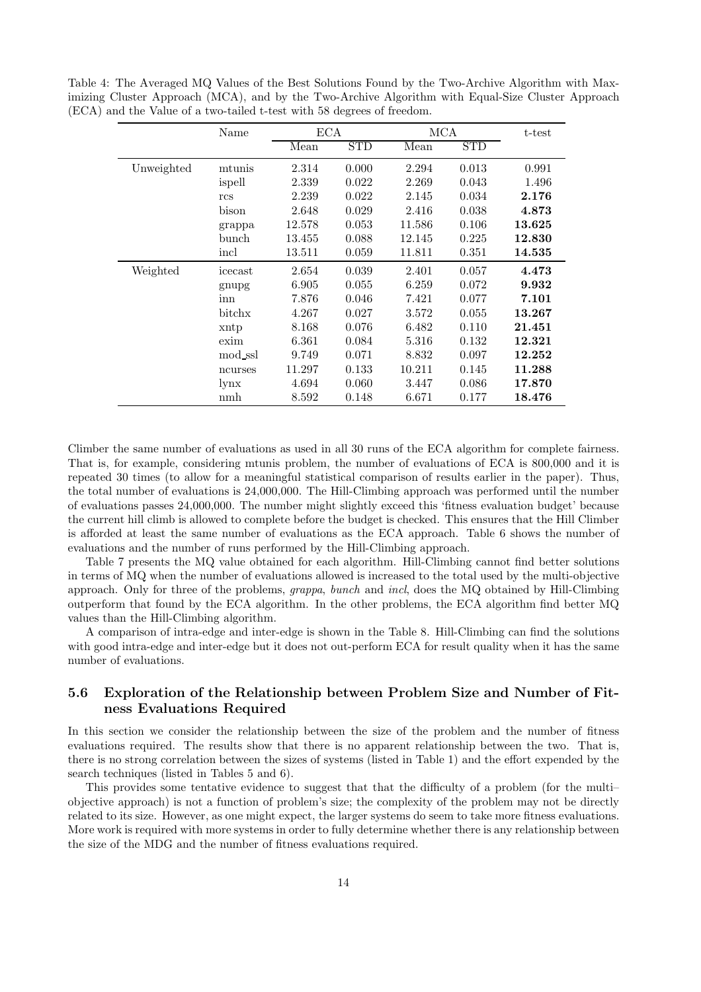Table 4: The Averaged MQ Values of the Best Solutions Found by the Two-Archive Algorithm with Maximizing Cluster Approach (MCA), and by the Two-Archive Algorithm with Equal-Size Cluster Approach (ECA) and the Value of a two-tailed t-test with 58 degrees of freedom.

|            | Name    | ECA    |            | MCA    |            | t-test |
|------------|---------|--------|------------|--------|------------|--------|
|            |         | Mean   | <b>STD</b> | Mean   | <b>STD</b> |        |
| Unweighted | mtunis  | 2.314  | 0.000      | 2.294  | 0.013      | 0.991  |
|            | ispell  | 2.339  | 0.022      | 2.269  | 0.043      | 1.496  |
|            | rcs     | 2.239  | 0.022      | 2.145  | 0.034      | 2.176  |
|            | bison   | 2.648  | 0.029      | 2.416  | 0.038      | 4.873  |
|            | grappa  | 12.578 | 0.053      | 11.586 | 0.106      | 13.625 |
|            | bunch   | 13.455 | 0.088      | 12.145 | 0.225      | 12.830 |
|            | incl    | 13.511 | 0.059      | 11.811 | 0.351      | 14.535 |
| Weighted   | icecast | 2.654  | 0.039      | 2.401  | 0.057      | 4.473  |
|            | gnupg   | 6.905  | 0.055      | 6.259  | 0.072      | 9.932  |
|            | inn     | 7.876  | 0.046      | 7.421  | 0.077      | 7.101  |
|            | bitchx  | 4.267  | 0.027      | 3.572  | 0.055      | 13.267 |
|            | xntp    | 8.168  | 0.076      | 6.482  | 0.110      | 21.451 |
|            | exim    | 6.361  | 0.084      | 5.316  | 0.132      | 12.321 |
|            | mod_ssl | 9.749  | 0.071      | 8.832  | 0.097      | 12.252 |
|            | ncurses | 11.297 | 0.133      | 10.211 | 0.145      | 11.288 |
|            | lynx    | 4.694  | 0.060      | 3.447  | 0.086      | 17.870 |
|            | nmh     | 8.592  | 0.148      | 6.671  | 0.177      | 18.476 |

Climber the same number of evaluations as used in all 30 runs of the ECA algorithm for complete fairness. That is, for example, considering mtunis problem, the number of evaluations of ECA is 800,000 and it is repeated 30 times (to allow for a meaningful statistical comparison of results earlier in the paper). Thus, the total number of evaluations is 24,000,000. The Hill-Climbing approach was performed until the number of evaluations passes 24,000,000. The number might slightly exceed this 'fitness evaluation budget' because the current hill climb is allowed to complete before the budget is checked. This ensures that the Hill Climber is afforded at least the same number of evaluations as the ECA approach. Table 6 shows the number of evaluations and the number of runs performed by the Hill-Climbing approach.

Table 7 presents the MQ value obtained for each algorithm. Hill-Climbing cannot find better solutions in terms of MQ when the number of evaluations allowed is increased to the total used by the multi-objective approach. Only for three of the problems, grappa, bunch and incl, does the MQ obtained by Hill-Climbing outperform that found by the ECA algorithm. In the other problems, the ECA algorithm find better MQ values than the Hill-Climbing algorithm.

A comparison of intra-edge and inter-edge is shown in the Table 8. Hill-Climbing can find the solutions with good intra-edge and inter-edge but it does not out-perform ECA for result quality when it has the same number of evaluations.

### 5.6 Exploration of the Relationship between Problem Size and Number of Fitness Evaluations Required

In this section we consider the relationship between the size of the problem and the number of fitness evaluations required. The results show that there is no apparent relationship between the two. That is, there is no strong correlation between the sizes of systems (listed in Table 1) and the effort expended by the search techniques (listed in Tables 5 and 6).

This provides some tentative evidence to suggest that that the difficulty of a problem (for the multi– objective approach) is not a function of problem's size; the complexity of the problem may not be directly related to its size. However, as one might expect, the larger systems do seem to take more fitness evaluations. More work is required with more systems in order to fully determine whether there is any relationship between the size of the MDG and the number of fitness evaluations required.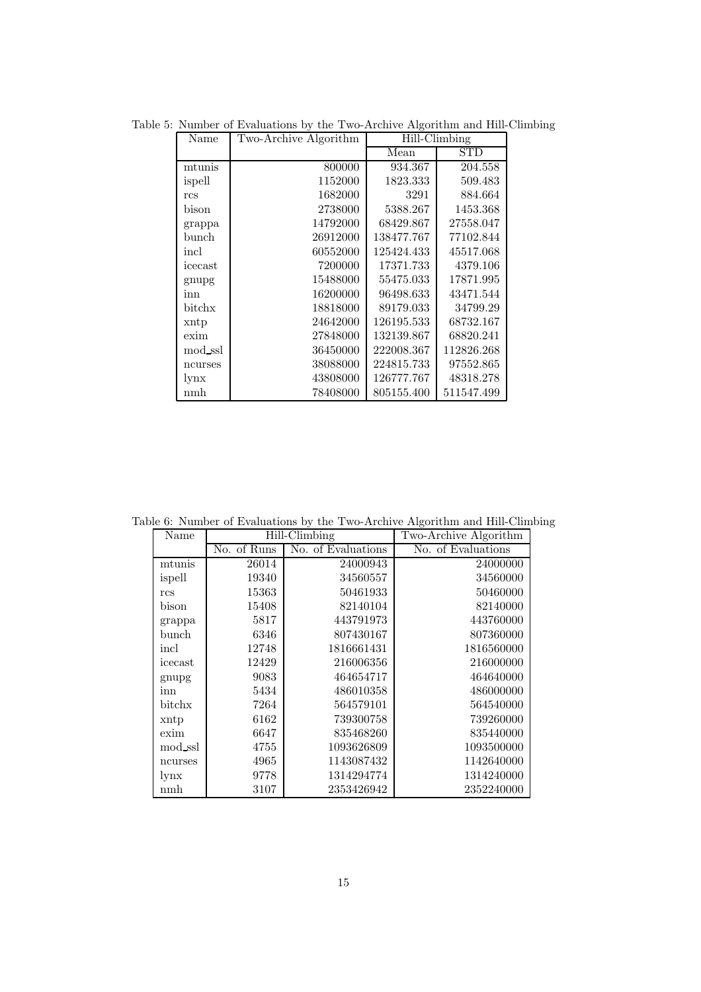| Name    | Hill-Climbing<br>Two-Archive Algorithm |            |                   |  |
|---------|----------------------------------------|------------|-------------------|--|
|         |                                        | Mean       | $_{\mathrm{STD}}$ |  |
| mtunis  | 800000                                 | 934.367    | 204.558           |  |
| ispell  | 1152000                                | 1823.333   | 509.483           |  |
| rcs     | 1682000                                | 3291       | 884.664           |  |
| bison   | 2738000                                | 5388.267   | 1453.368          |  |
| grappa  | 14792000                               | 68429.867  | 27558.047         |  |
| bunch   | 26912000                               | 138477.767 | 77102.844         |  |
| incl    | 60552000                               | 125424.433 | 45517.068         |  |
| icecast | 7200000                                | 17371.733  | 4379.106          |  |
| gnupg   | 15488000                               | 55475.033  | 17871.995         |  |
| inn     | 16200000                               | 96498.633  | 43471.544         |  |
| bitchx  | 18818000                               | 89179.033  | 34799.29          |  |
| xntp    | 24642000                               | 126195.533 | 68732.167         |  |
| exim    | 27848000                               | 132139.867 | 68820.241         |  |
| mod_ssl | 36450000                               | 222008.367 | 112826.268        |  |
| ncurses | 38088000                               | 224815.733 | 97552.865         |  |
| lynx    | 43808000                               | 126777.767 | 48318.278         |  |
| nmh     | 78408000                               | 805155.400 | 511547.499        |  |

Table 5: Number of Evaluations by the Two-Archive Algorithm and Hill-Climbing

Table 6: Number of Evaluations by the Two-Archive Algorithm and Hill-Climbing

| Name    |             | $\overline{Hill}$ -Climbing | Two-Archive Algorithm |
|---------|-------------|-----------------------------|-----------------------|
|         | No. of Runs | No. of Evaluations          | No. of Evaluations    |
| mtunis  | 26014       | 24000943                    | 24000000              |
| ispell  | 19340       | 34560557                    | 34560000              |
| rcs     | 15363       | 50461933                    | 50460000              |
| bison   | 15408       | 82140104                    | 82140000              |
| grappa  | 5817        | 443791973                   | 443760000             |
| bunch   | 6346        | 807430167                   | 807360000             |
| incl    | 12748       | 1816661431                  | 1816560000            |
| icecast | 12429       | 216006356                   | 216000000             |
| gnupg   | 9083        | 464654717                   | 464640000             |
| inn     | 5434        | 486010358                   | 486000000             |
| bitchx  | 7264        | 564579101                   | 564540000             |
| xntp    | 6162        | 739300758                   | 739260000             |
| exim    | 6647        | 835468260                   | 835440000             |
| mod_ssl | 4755        | 1093626809                  | 1093500000            |
| ncurses | 4965        | 1143087432                  | 1142640000            |
| lynx    | 9778        | 1314294774                  | 1314240000            |
| nmh     | 3107        | 2353426942                  | 2352240000            |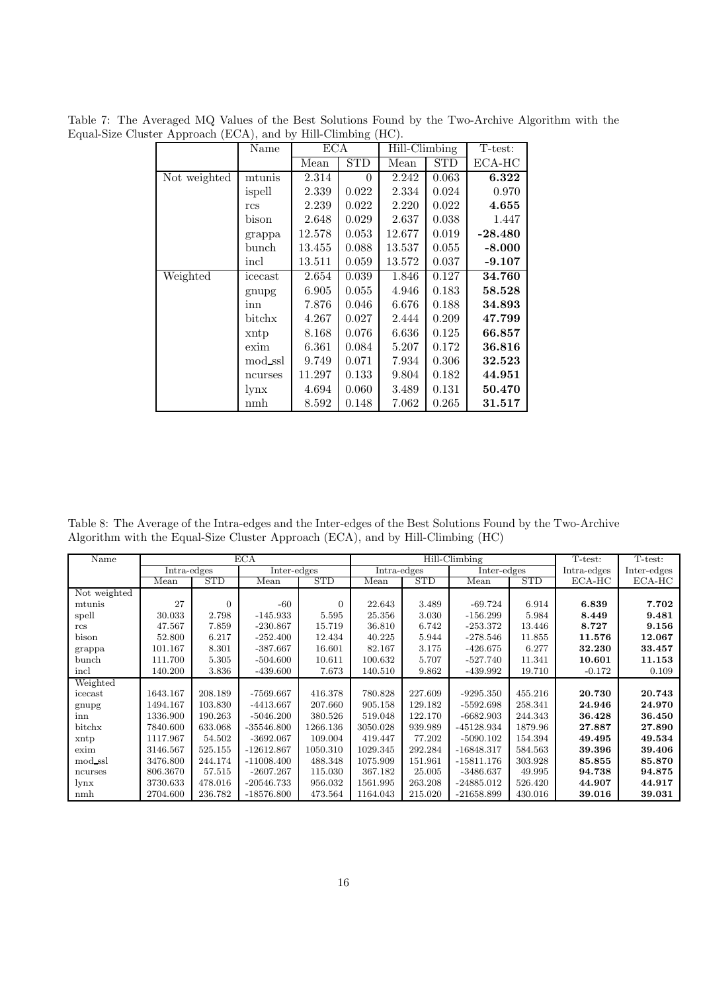|              | Name           | ECA    |            | Hill-Climbing |            | T-test:                   |       |       |       |        |
|--------------|----------------|--------|------------|---------------|------------|---------------------------|-------|-------|-------|--------|
|              |                | Mean   | <b>STD</b> | Mean          | <b>STD</b> | $ECA-HC$                  |       |       |       |        |
| Not weighted | ${\rm mtunis}$ | 2.314  | $\Omega$   | 2.242         | 0.063      | 6.322                     |       |       |       |        |
|              | ispell         | 2.339  | 0.022      | 2.334         | 0.024      | 0.970                     |       |       |       |        |
|              | rcs            | 2.239  | 0.022      | 2.220         | 0.022      | 4.655                     |       |       |       |        |
|              | bison          | 2.648  | 0.029      | 2.637         | 0.038      | 1.447                     |       |       |       |        |
|              | grappa         | 12.578 | 0.053      | 12.677        | 0.019      | $-28.480$                 |       |       |       |        |
|              | bunch          | 13.455 | 0.088      | 13.537        | 0.055      | $-8.000$                  |       |       |       |        |
|              | incl           | 13.511 | 0.059      | 13.572        | 0.037      | $-9.107$                  |       |       |       |        |
| Weighted     | icecast        | 2.654  | 0.039      | 1.846         | 0.127      | 34.760                    |       |       |       |        |
|              | gnupg          | 6.905  | 0.055      | 4.946         | 0.183      | 58.528                    |       |       |       |        |
|              | inn            | 7.876  | 0.046      | 6.676         | 0.188      | 34.893                    |       |       |       |        |
|              | bitchx         | 4.267  | 0.027      | 2.444         | 0.209      | 47.799                    |       |       |       |        |
|              | xntp           | 8.168  |            |               |            |                           | 0.076 | 6.636 | 0.125 | 66.857 |
|              | exim           | 6.361  | 0.084      | 5.207         | 0.172      | 36.816                    |       |       |       |        |
|              | mod_ssl        | 9.749  | 0.071      | 7.934         | 0.306      | 32.523                    |       |       |       |        |
|              | ncurses        | 11.297 | 0.133      | 9.804         | 0.182      | 44.951                    |       |       |       |        |
|              | lynx           | 4.694  | 0.060      | 3.489         | 0.131      | 50.470                    |       |       |       |        |
|              | nmh            | 8.592  | 0.148      | 7.062         | 0.265      | $\textcolor{red}{31.517}$ |       |       |       |        |

Table 7: The Averaged MQ Values of the Best Solutions Found by the Two-Archive Algorithm with the Equal-Size Cluster Approach (ECA), and by Hill-Climbing (HC).

Table 8: The Average of the Intra-edges and the Inter-edges of the Best Solutions Found by the Two-Archive Algorithm with the Equal-Size Cluster Approach (ECA), and by Hill-Climbing (HC)

| Name             |             |            | <b>ECA</b>   |            |             |            | Hill-Climbing |            | T-test:     | $T-test$ :  |
|------------------|-------------|------------|--------------|------------|-------------|------------|---------------|------------|-------------|-------------|
|                  | Intra-edges |            | Inter-edges  |            | Intra-edges |            | Inter-edges   |            | Intra-edges | Inter-edges |
|                  | Mean        | <b>STD</b> | Mean         | <b>STD</b> | Mean        | <b>STD</b> | Mean          | <b>STD</b> | $ECA-HC$    | $ECA-HC$    |
| Not weighted     |             |            |              |            |             |            |               |            |             |             |
| mtunis           | 27          | $\Omega$   | -60          | $\Omega$   | 22.643      | 3.489      | $-69.724$     | 6.914      | 6.839       | 7.702       |
| spell            | 30.033      | 2.798      | $-145.933$   | 5.595      | 25.356      | 3.030      | $-156.299$    | 5.984      | 8.449       | 9.481       |
| rcs              | 47.567      | 7.859      | $-230.867$   | 15.719     | 36.810      | 6.742      | $-253.372$    | 13.446     | 8.727       | 9.156       |
| bison            | 52.800      | 6.217      | $-252.400$   | 12.434     | 40.225      | 5.944      | $-278.546$    | 11.855     | 11.576      | 12.067      |
| grappa           | 101.167     | 8.301      | $-387.667$   | 16.601     | 82.167      | 3.175      | $-426.675$    | 6.277      | 32.230      | 33.457      |
| bunch            | 111.700     | 5.305      | $-504.600$   | 10.611     | 100.632     | 5.707      | $-527.740$    | 11.341     | 10.601      | 11.153      |
| incl             | 140.200     | 3.836      | $-439.600$   | 7.673      | 140.510     | 9.862      | -439.992      | 19.710     | $-0.172$    | 0.109       |
| Weighted         |             |            |              |            |             |            |               |            |             |             |
| icecast          | 1643.167    | 208.189    | $-7569.667$  | 416.378    | 780.828     | 227.609    | $-9295.350$   | 455.216    | 20.730      | 20.743      |
| gnupg            | 1494.167    | 103.830    | $-4413.667$  | 207.660    | 905.158     | 129.182    | $-5592.698$   | 258.341    | 24.946      | 24.970      |
| inn              | 1336.900    | 190.263    | $-5046.200$  | 380.526    | 519.048     | 122.170    | $-6682.903$   | 244.343    | 36.428      | 36.450      |
| bitchx           | 7840.600    | 633.068    | $-35546.800$ | 1266.136   | 3050.028    | 939.989    | -45128.934    | 1879.96    | 27.887      | 27.890      |
| xntp             | 1117.967    | 54.502     | $-3692.067$  | 109.004    | 419.447     | 77.202     | $-5090.102$   | 154.394    | 49.495      | 49.534      |
| exim             | 3146.567    | 525.155    | $-12612.867$ | 1050.310   | 1029.345    | 292.284    | $-16848.317$  | 584.563    | 39.396      | 39.406      |
| mod_ssl          | 3476.800    | 244.174    | $-11008.400$ | 488.348    | 1075.909    | 151.961    | $-15811.176$  | 303.928    | 85.855      | 85.870      |
| ncurses          | 806.3670    | 57.515     | $-2607.267$  | 115.030    | 367.182     | 25.005     | $-3486.637$   | 49.995     | 94.738      | 94.875      |
| $_{\text{lynx}}$ | 3730.633    | 478.016    | $-20546.733$ | 956.032    | 1561.995    | 263.208    | $-24885.012$  | 526.420    | 44.907      | 44.917      |
| nmh              | 2704.600    | 236.782    | $-18576.800$ | 473.564    | 1164.043    | 215.020    | $-21658.899$  | 430.016    | 39.016      | 39.031      |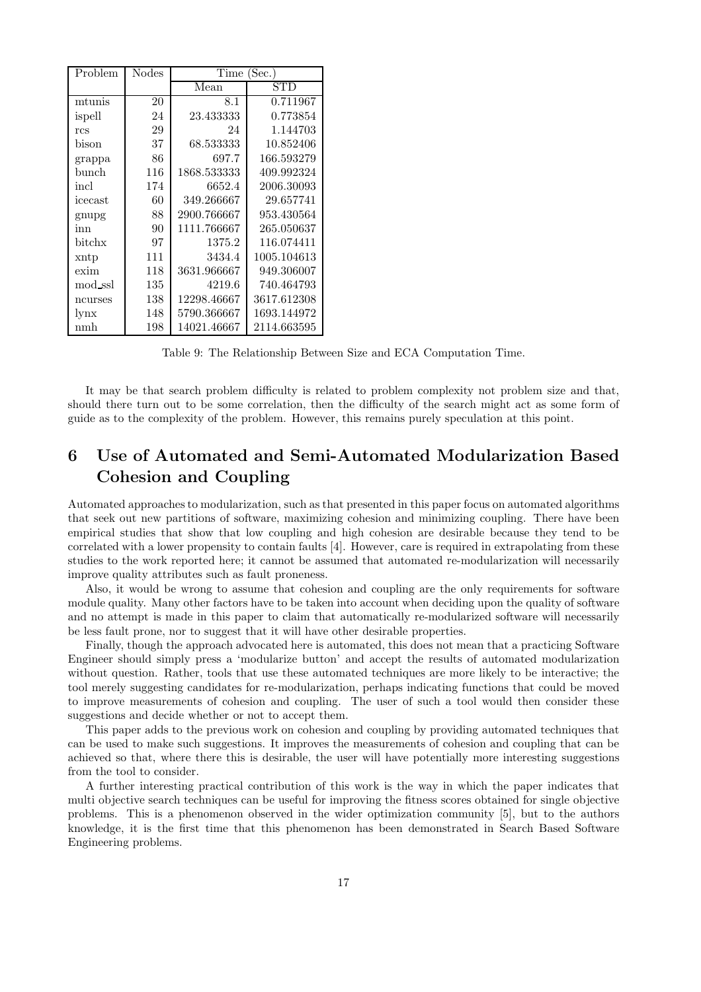| Problem | <b>Nodes</b> | Time        | (Sec.)      |
|---------|--------------|-------------|-------------|
|         |              | Mean        | STD         |
| mtunis  | 20           | 8.1         | 0.711967    |
| ispell  | 24           | 23.433333   | 0.773854    |
| rcs     | 29           | 24          | 1.144703    |
| bison   | 37           | 68.533333   | 10.852406   |
| grappa  | 86           | 697.7       | 166.593279  |
| bunch   | 116          | 1868.533333 | 409.992324  |
| incl    | 174          | 6652.4      | 2006.30093  |
| icecast | 60           | 349.266667  | 29.657741   |
| gnupg   | 88           | 2900.766667 | 953.430564  |
| inn     | 90           | 1111.766667 | 265.050637  |
| bitchx  | 97           | 1375.2      | 116.074411  |
| xntp    | 111          | 3434.4      | 1005.104613 |
| exim    | 118          | 3631.966667 | 949.306007  |
| mod_ssl | 135          | 4219.6      | 740.464793  |
| ncurses | 138          | 12298.46667 | 3617.612308 |
| lynx    | 148          | 5790.366667 | 1693.144972 |
| nmh     | 198          | 14021.46667 | 2114.663595 |

Table 9: The Relationship Between Size and ECA Computation Time.

It may be that search problem difficulty is related to problem complexity not problem size and that, should there turn out to be some correlation, then the difficulty of the search might act as some form of guide as to the complexity of the problem. However, this remains purely speculation at this point.

# 6 Use of Automated and Semi-Automated Modularization Based Cohesion and Coupling

Automated approaches to modularization, such as that presented in this paper focus on automated algorithms that seek out new partitions of software, maximizing cohesion and minimizing coupling. There have been empirical studies that show that low coupling and high cohesion are desirable because they tend to be correlated with a lower propensity to contain faults [4]. However, care is required in extrapolating from these studies to the work reported here; it cannot be assumed that automated re-modularization will necessarily improve quality attributes such as fault proneness.

Also, it would be wrong to assume that cohesion and coupling are the only requirements for software module quality. Many other factors have to be taken into account when deciding upon the quality of software and no attempt is made in this paper to claim that automatically re-modularized software will necessarily be less fault prone, nor to suggest that it will have other desirable properties.

Finally, though the approach advocated here is automated, this does not mean that a practicing Software Engineer should simply press a 'modularize button' and accept the results of automated modularization without question. Rather, tools that use these automated techniques are more likely to be interactive; the tool merely suggesting candidates for re-modularization, perhaps indicating functions that could be moved to improve measurements of cohesion and coupling. The user of such a tool would then consider these suggestions and decide whether or not to accept them.

This paper adds to the previous work on cohesion and coupling by providing automated techniques that can be used to make such suggestions. It improves the measurements of cohesion and coupling that can be achieved so that, where there this is desirable, the user will have potentially more interesting suggestions from the tool to consider.

A further interesting practical contribution of this work is the way in which the paper indicates that multi objective search techniques can be useful for improving the fitness scores obtained for single objective problems. This is a phenomenon observed in the wider optimization community [5], but to the authors knowledge, it is the first time that this phenomenon has been demonstrated in Search Based Software Engineering problems.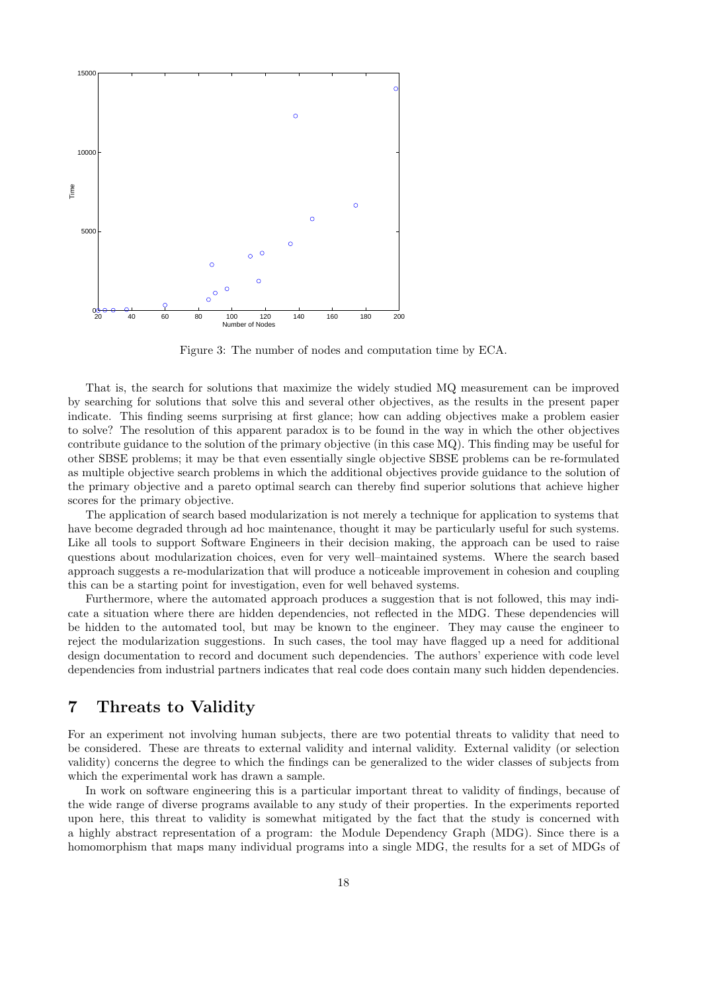

Figure 3: The number of nodes and computation time by ECA.

That is, the search for solutions that maximize the widely studied MQ measurement can be improved by searching for solutions that solve this and several other objectives, as the results in the present paper indicate. This finding seems surprising at first glance; how can adding objectives make a problem easier to solve? The resolution of this apparent paradox is to be found in the way in which the other objectives contribute guidance to the solution of the primary objective (in this case MQ). This finding may be useful for other SBSE problems; it may be that even essentially single objective SBSE problems can be re-formulated as multiple objective search problems in which the additional objectives provide guidance to the solution of the primary objective and a pareto optimal search can thereby find superior solutions that achieve higher scores for the primary objective.

The application of search based modularization is not merely a technique for application to systems that have become degraded through ad hoc maintenance, thought it may be particularly useful for such systems. Like all tools to support Software Engineers in their decision making, the approach can be used to raise questions about modularization choices, even for very well–maintained systems. Where the search based approach suggests a re-modularization that will produce a noticeable improvement in cohesion and coupling this can be a starting point for investigation, even for well behaved systems.

Furthermore, where the automated approach produces a suggestion that is not followed, this may indicate a situation where there are hidden dependencies, not reflected in the MDG. These dependencies will be hidden to the automated tool, but may be known to the engineer. They may cause the engineer to reject the modularization suggestions. In such cases, the tool may have flagged up a need for additional design documentation to record and document such dependencies. The authors' experience with code level dependencies from industrial partners indicates that real code does contain many such hidden dependencies.

## 7 Threats to Validity

For an experiment not involving human subjects, there are two potential threats to validity that need to be considered. These are threats to external validity and internal validity. External validity (or selection validity) concerns the degree to which the findings can be generalized to the wider classes of subjects from which the experimental work has drawn a sample.

In work on software engineering this is a particular important threat to validity of findings, because of the wide range of diverse programs available to any study of their properties. In the experiments reported upon here, this threat to validity is somewhat mitigated by the fact that the study is concerned with a highly abstract representation of a program: the Module Dependency Graph (MDG). Since there is a homomorphism that maps many individual programs into a single MDG, the results for a set of MDGs of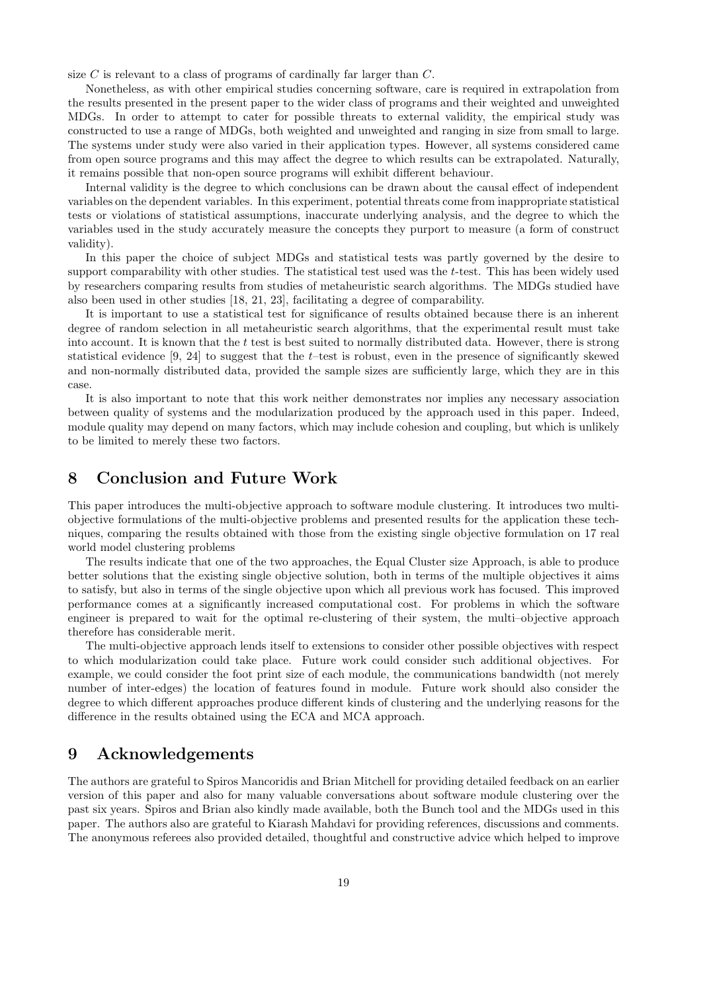size C is relevant to a class of programs of cardinally far larger than  $C$ .

Nonetheless, as with other empirical studies concerning software, care is required in extrapolation from the results presented in the present paper to the wider class of programs and their weighted and unweighted MDGs. In order to attempt to cater for possible threats to external validity, the empirical study was constructed to use a range of MDGs, both weighted and unweighted and ranging in size from small to large. The systems under study were also varied in their application types. However, all systems considered came from open source programs and this may affect the degree to which results can be extrapolated. Naturally, it remains possible that non-open source programs will exhibit different behaviour.

Internal validity is the degree to which conclusions can be drawn about the causal effect of independent variables on the dependent variables. In this experiment, potential threats come from inappropriate statistical tests or violations of statistical assumptions, inaccurate underlying analysis, and the degree to which the variables used in the study accurately measure the concepts they purport to measure (a form of construct validity).

In this paper the choice of subject MDGs and statistical tests was partly governed by the desire to support comparability with other studies. The statistical test used was the t-test. This has been widely used by researchers comparing results from studies of metaheuristic search algorithms. The MDGs studied have also been used in other studies [18, 21, 23], facilitating a degree of comparability.

It is important to use a statistical test for significance of results obtained because there is an inherent degree of random selection in all metaheuristic search algorithms, that the experimental result must take into account. It is known that the t test is best suited to normally distributed data. However, there is strong statistical evidence [9, 24] to suggest that the t–test is robust, even in the presence of significantly skewed and non-normally distributed data, provided the sample sizes are sufficiently large, which they are in this case.

It is also important to note that this work neither demonstrates nor implies any necessary association between quality of systems and the modularization produced by the approach used in this paper. Indeed, module quality may depend on many factors, which may include cohesion and coupling, but which is unlikely to be limited to merely these two factors.

### 8 Conclusion and Future Work

This paper introduces the multi-objective approach to software module clustering. It introduces two multiobjective formulations of the multi-objective problems and presented results for the application these techniques, comparing the results obtained with those from the existing single objective formulation on 17 real world model clustering problems

The results indicate that one of the two approaches, the Equal Cluster size Approach, is able to produce better solutions that the existing single objective solution, both in terms of the multiple objectives it aims to satisfy, but also in terms of the single objective upon which all previous work has focused. This improved performance comes at a significantly increased computational cost. For problems in which the software engineer is prepared to wait for the optimal re-clustering of their system, the multi–objective approach therefore has considerable merit.

The multi-objective approach lends itself to extensions to consider other possible objectives with respect to which modularization could take place. Future work could consider such additional objectives. For example, we could consider the foot print size of each module, the communications bandwidth (not merely number of inter-edges) the location of features found in module. Future work should also consider the degree to which different approaches produce different kinds of clustering and the underlying reasons for the difference in the results obtained using the ECA and MCA approach.

### 9 Acknowledgements

The authors are grateful to Spiros Mancoridis and Brian Mitchell for providing detailed feedback on an earlier version of this paper and also for many valuable conversations about software module clustering over the past six years. Spiros and Brian also kindly made available, both the Bunch tool and the MDGs used in this paper. The authors also are grateful to Kiarash Mahdavi for providing references, discussions and comments. The anonymous referees also provided detailed, thoughtful and constructive advice which helped to improve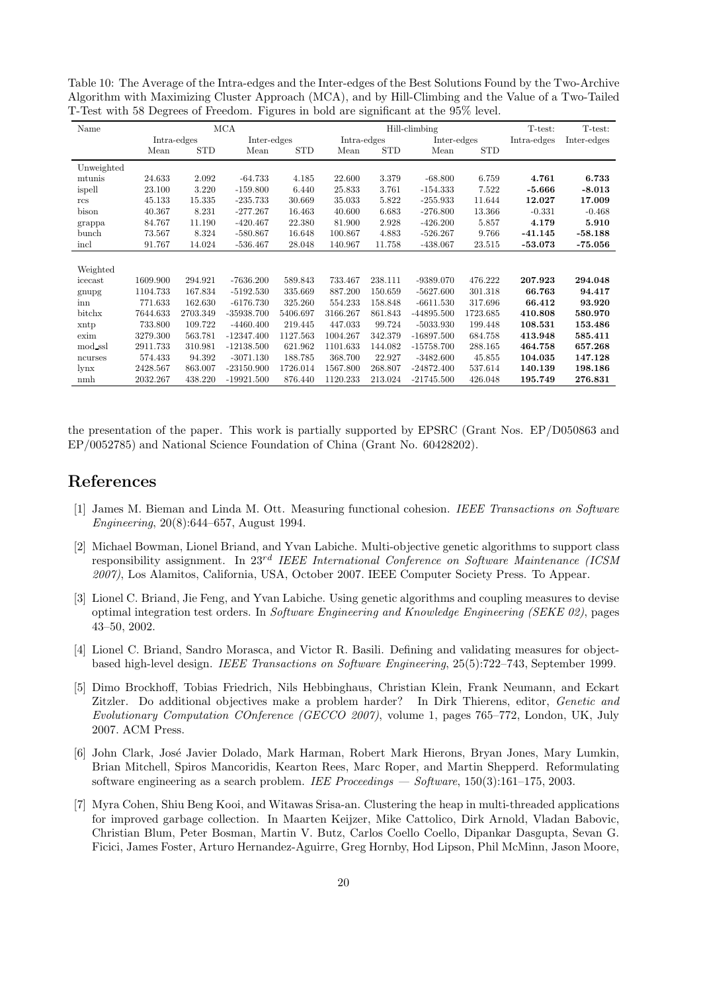Table 10: The Average of the Intra-edges and the Inter-edges of the Best Solutions Found by the Two-Archive Algorithm with Maximizing Cluster Approach (MCA), and by Hill-Climbing and the Value of a Two-Tailed T-Test with 58 Degrees of Freedom. Figures in bold are significant at the 95% level.

| Name       |          |             | <b>MCA</b>   |            |             |         | Hill-climbing |            | T-test:     | T-test:     |
|------------|----------|-------------|--------------|------------|-------------|---------|---------------|------------|-------------|-------------|
|            |          | Intra-edges | Inter-edges  |            | Intra-edges |         | Inter-edges   |            | Intra-edges | Inter-edges |
|            | Mean     | <b>STD</b>  | Mean         | <b>STD</b> | Mean        | STD     | Mean          | <b>STD</b> |             |             |
| Unweighted |          |             |              |            |             |         |               |            |             |             |
| mtunis     | 24.633   | 2.092       | $-64.733$    | 4.185      | 22.600      | 3.379   | $-68.800$     | 6.759      | 4.761       | 6.733       |
| ispell     | 23.100   | 3.220       | $-159.800$   | 6.440      | 25.833      | 3.761   | $-154.333$    | 7.522      | $-5.666$    | $-8.013$    |
| rcs        | 45.133   | 15.335      | $-235.733$   | 30.669     | 35.033      | 5.822   | $-255.933$    | 11.644     | 12.027      | 17.009      |
| bison      | 40.367   | 8.231       | $-277.267$   | 16.463     | 40.600      | 6.683   | $-276.800$    | 13.366     | $-0.331$    | $-0.468$    |
| grappa     | 84.767   | 11.190      | $-420.467$   | 22.380     | 81.900      | 2.928   | $-426.200$    | 5.857      | 4.179       | 5.910       |
| bunch      | 73.567   | 8.324       | $-580.867$   | 16.648     | 100.867     | 4.883   | $-526.267$    | 9.766      | $-41.145$   | $-58.188$   |
| incl       | 91.767   | 14.024      | $-536.467$   | 28.048     | 140.967     | 11.758  | $-438.067$    | 23.515     | $-53.073$   | $-75.056$   |
|            |          |             |              |            |             |         |               |            |             |             |
| Weighted   |          |             |              |            |             |         |               |            |             |             |
| icecast    | 1609.900 | 294.921     | $-7636.200$  | 589.843    | 733.467     | 238.111 | $-9389.070$   | 476.222    | 207.923     | 294.048     |
| gnupg      | 1104.733 | 167.834     | $-5192.530$  | 335.669    | 887.200     | 150.659 | $-5627.600$   | 301.318    | 66.763      | 94.417      |
| inn        | 771.633  | 162.630     | $-6176.730$  | 325.260    | 554.233     | 158.848 | $-6611.530$   | 317.696    | 66.412      | 93.920      |
| bitchx     | 7644.633 | 2703.349    | $-35938.700$ | 5406.697   | 3166.267    | 861.843 | $-44895.500$  | 1723.685   | 410.808     | 580.970     |
| xntp       | 733.800  | 109.722     | $-4460.400$  | 219.445    | 447.033     | 99.724  | $-5033.930$   | 199.448    | 108.531     | 153.486     |
| exim       | 3279.300 | 563.781     | $-12347.400$ | 1127.563   | 1004.267    | 342.379 | $-16897.500$  | 684.758    | 413.948     | 585.411     |
| mod ssl    | 2911.733 | 310.981     | $-12138.500$ | 621.962    | 1101.633    | 144.082 | $-15758.700$  | 288.165    | 464.758     | 657.268     |
| ncurses    | 574.433  | 94.392      | $-3071.130$  | 188.785    | 368.700     | 22.927  | $-3482.600$   | 45.855     | 104.035     | 147.128     |
| lynx       | 2428.567 | 863.007     | $-23150.900$ | 1726.014   | 1567.800    | 268.807 | $-24872.400$  | 537.614    | 140.139     | 198.186     |
| nmh        | 2032.267 | 438.220     | $-19921.500$ | 876.440    | 1120.233    | 213.024 | $-21745.500$  | 426.048    | 195.749     | 276.831     |

the presentation of the paper. This work is partially supported by EPSRC (Grant Nos. EP/D050863 and EP/0052785) and National Science Foundation of China (Grant No. 60428202).

## References

- [1] James M. Bieman and Linda M. Ott. Measuring functional cohesion. IEEE Transactions on Software Engineering, 20(8):644–657, August 1994.
- [2] Michael Bowman, Lionel Briand, and Yvan Labiche. Multi-objective genetic algorithms to support class responsibility assignment. In  $23^{rd}$  IEEE International Conference on Software Maintenance (ICSM 2007), Los Alamitos, California, USA, October 2007. IEEE Computer Society Press. To Appear.
- [3] Lionel C. Briand, Jie Feng, and Yvan Labiche. Using genetic algorithms and coupling measures to devise optimal integration test orders. In Software Engineering and Knowledge Engineering (SEKE 02), pages 43–50, 2002.
- [4] Lionel C. Briand, Sandro Morasca, and Victor R. Basili. Defining and validating measures for objectbased high-level design. IEEE Transactions on Software Engineering, 25(5):722–743, September 1999.
- [5] Dimo Brockhoff, Tobias Friedrich, Nils Hebbinghaus, Christian Klein, Frank Neumann, and Eckart Zitzler. Do additional objectives make a problem harder? In Dirk Thierens, editor, Genetic and Evolutionary Computation COnference (GECCO 2007), volume 1, pages 765–772, London, UK, July 2007. ACM Press.
- [6] John Clark, Jos´e Javier Dolado, Mark Harman, Robert Mark Hierons, Bryan Jones, Mary Lumkin, Brian Mitchell, Spiros Mancoridis, Kearton Rees, Marc Roper, and Martin Shepperd. Reformulating software engineering as a search problem. IEE Proceedings  $-$  Software, 150(3):161–175, 2003.
- [7] Myra Cohen, Shiu Beng Kooi, and Witawas Srisa-an. Clustering the heap in multi-threaded applications for improved garbage collection. In Maarten Keijzer, Mike Cattolico, Dirk Arnold, Vladan Babovic, Christian Blum, Peter Bosman, Martin V. Butz, Carlos Coello Coello, Dipankar Dasgupta, Sevan G. Ficici, James Foster, Arturo Hernandez-Aguirre, Greg Hornby, Hod Lipson, Phil McMinn, Jason Moore,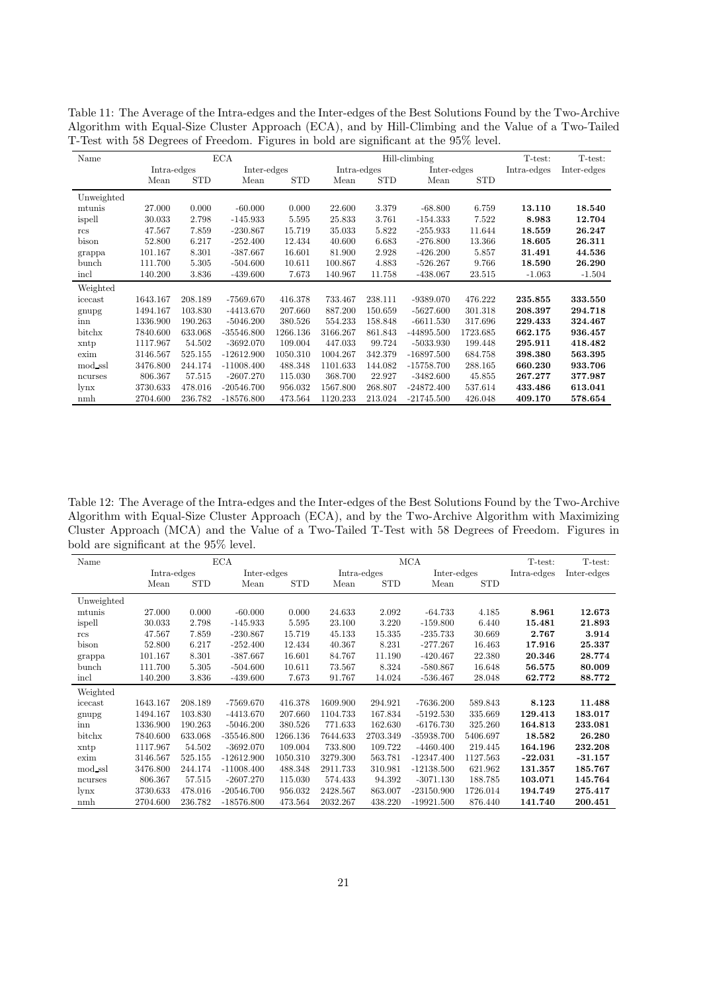Table 11: The Average of the Intra-edges and the Inter-edges of the Best Solutions Found by the Two-Archive Algorithm with Equal-Size Cluster Approach (ECA), and by Hill-Climbing and the Value of a Two-Tailed T-Test with 58 Degrees of Freedom. Figures in bold are significant at the 95% level.

| Name       |             |         | ECA          |            |             |            | Hill-climbing |            | T-test:     | T-test:     |
|------------|-------------|---------|--------------|------------|-------------|------------|---------------|------------|-------------|-------------|
|            | Intra-edges |         | Inter-edges  |            | Intra-edges |            | Inter-edges   |            | Intra-edges | Inter-edges |
|            | Mean        | STD     | Mean         | <b>STD</b> | Mean        | <b>STD</b> | Mean          | <b>STD</b> |             |             |
| Unweighted |             |         |              |            |             |            |               |            |             |             |
| mtunis     | 27.000      | 0.000   | $-60.000$    | 0.000      | 22.600      | 3.379      | $-68.800$     | 6.759      | 13.110      | 18.540      |
| ispell     | 30.033      | 2.798   | $-145.933$   | 5.595      | 25.833      | 3.761      | $-154.333$    | 7.522      | 8.983       | 12.704      |
| rcs        | 47.567      | 7.859   | $-230.867$   | 15.719     | 35.033      | 5.822      | $-255.933$    | 11.644     | 18.559      | 26.247      |
| bison      | 52.800      | 6.217   | $-252.400$   | 12.434     | 40.600      | 6.683      | $-276.800$    | 13.366     | 18.605      | 26.311      |
| grappa     | 101.167     | 8.301   | $-387.667$   | 16.601     | 81.900      | 2.928      | $-426.200$    | 5.857      | 31.491      | 44.536      |
| bunch      | 111.700     | 5.305   | $-504.600$   | 10.611     | 100.867     | 4.883      | $-526.267$    | 9.766      | 18.590      | 26.290      |
| incl       | 140.200     | 3.836   | $-439.600$   | 7.673      | 140.967     | 11.758     | $-438.067$    | 23.515     | $-1.063$    | $-1.504$    |
| Weighted   |             |         |              |            |             |            |               |            |             |             |
| icecast    | 1643.167    | 208.189 | $-7569.670$  | 416.378    | 733.467     | 238.111    | $-9389.070$   | 476.222    | 235.855     | 333.550     |
| gnupg      | 1494.167    | 103.830 | $-4413.670$  | 207.660    | 887.200     | 150.659    | $-5627.600$   | 301.318    | 208.397     | 294.718     |
| inn        | 1336.900    | 190.263 | $-5046.200$  | 380.526    | 554.233     | 158.848    | $-6611.530$   | 317.696    | 229.433     | 324.467     |
| bitchx     | 7840.600    | 633.068 | $-35546.800$ | 1266.136   | 3166.267    | 861.843    | $-44895.500$  | 1723.685   | 662.175     | 936.457     |
| xntp       | 1117.967    | 54.502  | $-3692.070$  | 109.004    | 447.033     | 99.724     | $-5033.930$   | 199.448    | 295.911     | 418.482     |
| exim       | 3146.567    | 525.155 | $-12612.900$ | 1050.310   | 1004.267    | 342.379    | $-16897.500$  | 684.758    | 398.380     | 563.395     |
| mod ssl    | 3476.800    | 244.174 | $-11008.400$ | 488.348    | 1101.633    | 144.082    | $-15758.700$  | 288.165    | 660.230     | 933.706     |
| ncurses    | 806.367     | 57.515  | $-2607.270$  | 115.030    | 368.700     | 22.927     | $-3482.600$   | 45.855     | 267.277     | 377.987     |
| lynx       | 3730.633    | 478.016 | $-20546.700$ | 956.032    | 1567.800    | 268.807    | $-24872.400$  | 537.614    | 433.486     | 613.041     |
| nmh        | 2704.600    | 236.782 | $-18576.800$ | 473.564    | 1120.233    | 213.024    | $-21745.500$  | 426.048    | 409.170     | 578.654     |

Table 12: The Average of the Intra-edges and the Inter-edges of the Best Solutions Found by the Two-Archive Algorithm with Equal-Size Cluster Approach (ECA), and by the Two-Archive Algorithm with Maximizing Cluster Approach (MCA) and the Value of a Two-Tailed T-Test with 58 Degrees of Freedom. Figures in bold are significant at the 95% level.

| Name             |             |            | <b>ECA</b>   |            |          |             | <b>MCA</b>   |            | T-test:     | T-test:     |
|------------------|-------------|------------|--------------|------------|----------|-------------|--------------|------------|-------------|-------------|
|                  | Intra-edges |            | Inter-edges  |            |          | Intra-edges | Inter-edges  |            | Intra-edges | Inter-edges |
|                  | Mean        | <b>STD</b> | Mean         | <b>STD</b> | Mean     | STD         | Mean         | <b>STD</b> |             |             |
| Unweighted       |             |            |              |            |          |             |              |            |             |             |
| mtunis           | 27.000      | 0.000      | $-60.000$    | 0.000      | 24.633   | 2.092       | $-64.733$    | 4.185      | 8.961       | 12.673      |
| ispell           | 30.033      | 2.798      | $-145.933$   | 5.595      | 23.100   | 3.220       | $-159.800$   | 6.440      | 15.481      | 21.893      |
| rcs              | 47.567      | 7.859      | $-230.867$   | 15.719     | 45.133   | 15.335      | $-235.733$   | 30.669     | 2.767       | 3.914       |
| bison            | 52.800      | 6.217      | $-252.400$   | 12.434     | 40.367   | 8.231       | $-277.267$   | 16.463     | 17.916      | 25.337      |
| grappa           | 101.167     | 8.301      | $-387.667$   | 16.601     | 84.767   | 11.190      | $-420.467$   | 22.380     | 20.346      | 28.774      |
| bunch            | 111.700     | 5.305      | $-504.600$   | 10.611     | 73.567   | 8.324       | $-580.867$   | 16.648     | 56.575      | 80.009      |
| incl             | 140.200     | 3.836      | $-439.600$   | 7.673      | 91.767   | 14.024      | $-536.467$   | 28.048     | 62.772      | 88.772      |
| Weighted         |             |            |              |            |          |             |              |            |             |             |
| icecast          | 1643.167    | 208.189    | $-7569.670$  | 416.378    | 1609.900 | 294.921     | $-7636.200$  | 589.843    | 8.123       | 11.488      |
| gnupg            | 1494.167    | 103.830    | $-4413.670$  | 207.660    | 1104.733 | 167.834     | $-5192.530$  | 335.669    | 129.413     | 183.017     |
| inn              | 1336.900    | 190.263    | $-5046.200$  | 380.526    | 771.633  | 162.630     | $-6176.730$  | 325.260    | 164.813     | 233.081     |
| bitchx           | 7840.600    | 633.068    | $-35546.800$ | 1266.136   | 7644.633 | 2703.349    | $-35938.700$ | 5406.697   | 18.582      | 26.280      |
| xntp             | 1117.967    | 54.502     | $-3692.070$  | 109.004    | 733.800  | 109.722     | $-4460.400$  | 219.445    | 164.196     | 232.208     |
| exim             | 3146.567    | 525.155    | $-12612.900$ | 1050.310   | 3279.300 | 563.781     | $-12347.400$ | 1127.563   | $-22.031$   | $-31.157$   |
| mod_ssl          | 3476.800    | 244.174    | $-11008.400$ | 488.348    | 2911.733 | 310.981     | $-12138.500$ | 621.962    | 131.357     | 185.767     |
| ncurses          | 806.367     | 57.515     | $-2607.270$  | 115.030    | 574.433  | 94.392      | $-3071.130$  | 188.785    | 103.071     | 145.764     |
| $_{\text{lynx}}$ | 3730.633    | 478.016    | $-20546.700$ | 956.032    | 2428.567 | 863.007     | $-23150.900$ | 1726.014   | 194.749     | 275.417     |
| nmh              | 2704.600    | 236.782    | $-18576.800$ | 473.564    | 2032.267 | 438.220     | $-19921.500$ | 876.440    | 141.740     | 200.451     |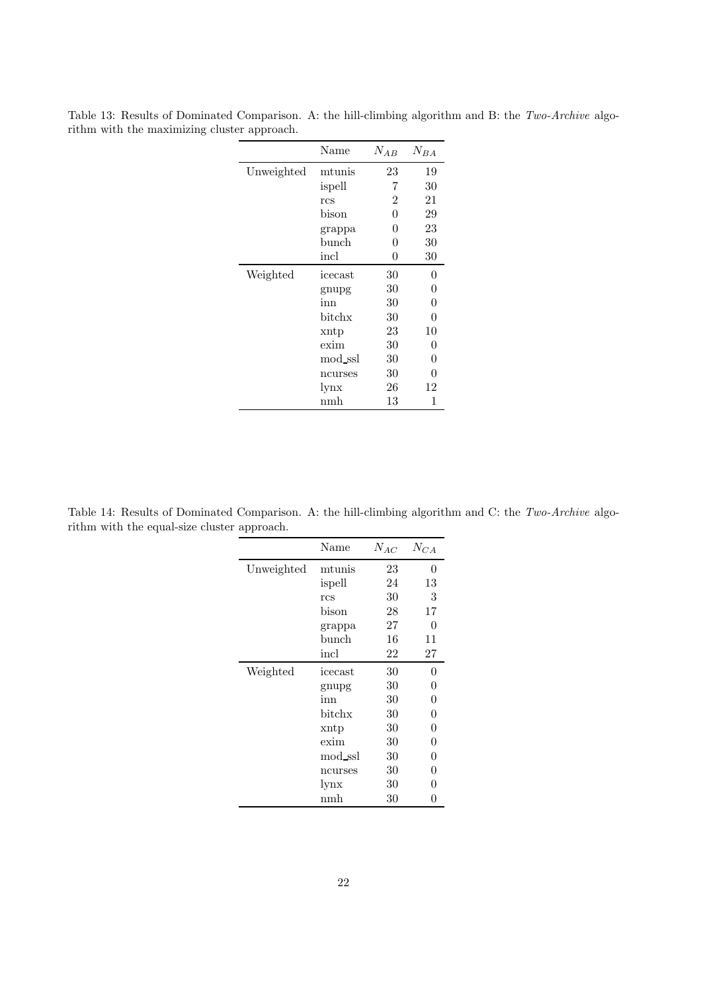|            | Name                         | $N_{AB}$ | $N_{BA}$ |
|------------|------------------------------|----------|----------|
| Unweighted | $_{\rm{mtunis}}$             | 23       | 19       |
|            | ispell                       | 7        | 30       |
|            | rcs                          | 2        | 21       |
|            | bison                        | 0        | 29       |
|            | grappa                       | 0        | 23       |
|            | bunch                        | 0        | 30       |
|            | incl                         | 0        | 30       |
| Weighted   | icecast                      | 30       | 0        |
|            | gnupg                        | 30       | 0        |
|            | inn                          | 30       | 0        |
|            | bitchx                       | 30       | 0        |
|            | xntp                         | 23       | 10       |
|            | $\mathop{\rm exim}\nolimits$ | 30       | 0        |
|            | mod_ssl                      | 30       | 0        |
|            | ncurses                      | 30       | O        |
|            | lynx                         | 26       | 12       |
|            | nmh                          | 13       | 1        |

Table 13: Results of Dominated Comparison. A: the hill-climbing algorithm and B: the Two-Archive algorithm with the maximizing cluster approach.

Table 14: Results of Dominated Comparison. A: the hill-climbing algorithm and C: the Two-Archive algorithm with the equal-size cluster approach.

|            | Name          | $N_{AC}$ | $N_{CA}$ |
|------------|---------------|----------|----------|
| Unweighted | mtunis        | 23       | 0        |
|            | ispell        | 24       | 13       |
|            | rcs           | 30       | 3        |
|            | bison         | 28       | 17       |
|            | grappa        | 27       | 0        |
|            | bunch         | 16       | 11       |
|            | $_{\rm incl}$ | 22       | 27       |
| Weighted   | icecast       | 30       | 0        |
|            | gnupg         | 30       | 0        |
|            | inn           | 30       | 0        |
|            | bitchx        | 30       | 0        |
|            | xntp          | 30       | 0        |
|            | exim          | 30       | 0        |
|            | mod_ssl       | 30       | 0        |
|            | ncurses       | 30       | 0        |
|            | lynx          | 30       | O        |
|            | nmh           | 30       | 0        |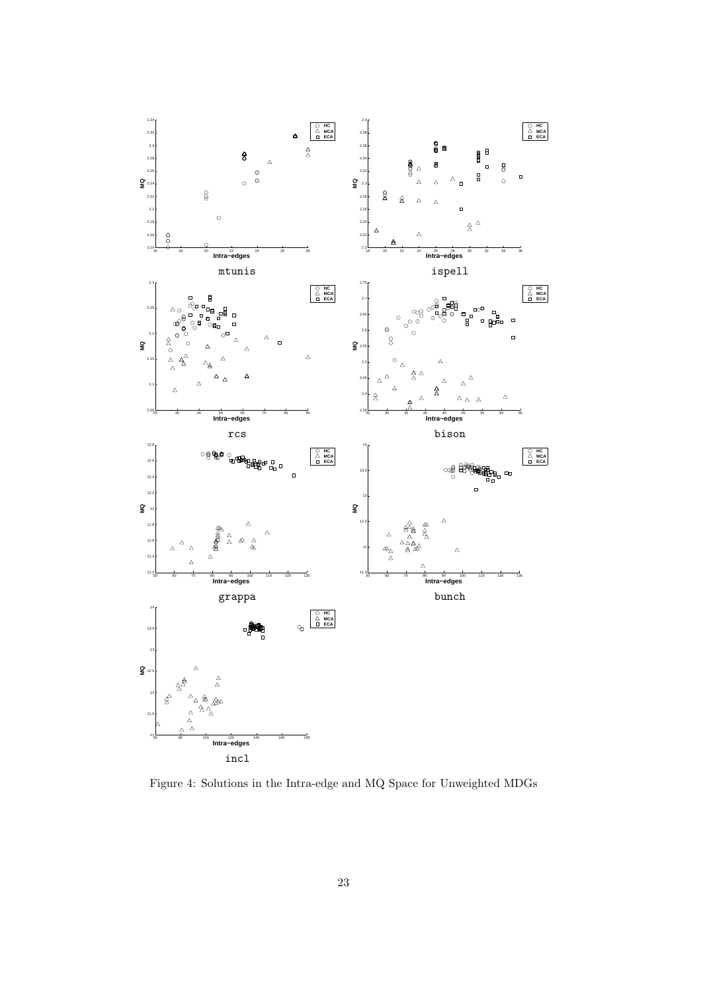

Figure 4: Solutions in the Intra-edge and MQ Space for Unweighted MDGs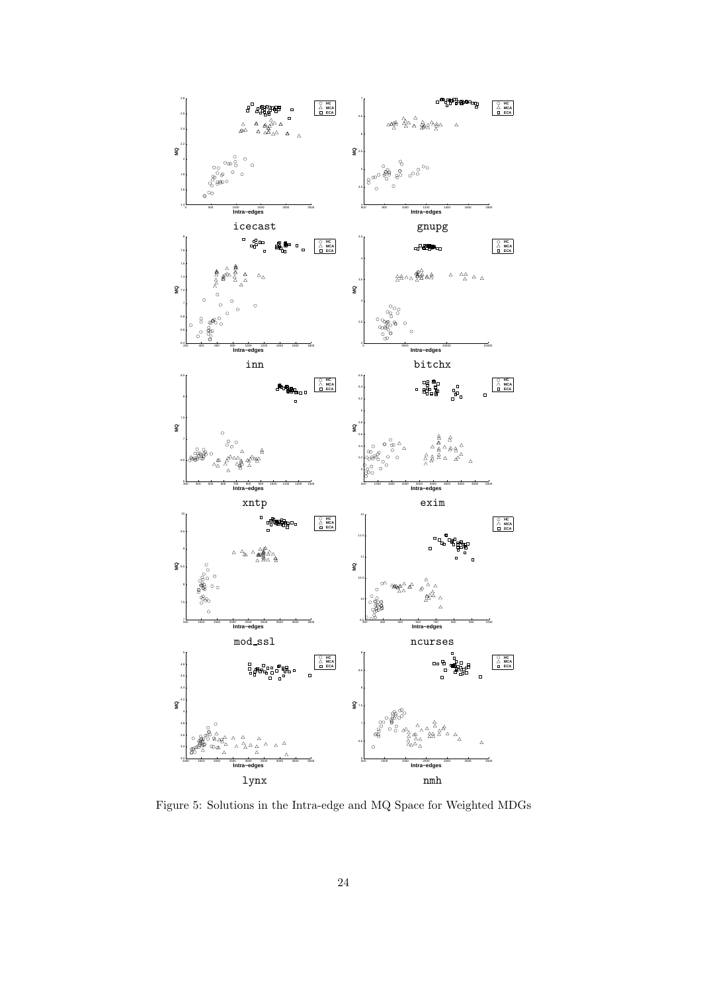

Figure 5: Solutions in the Intra-edge and MQ Space for Weighted MDGs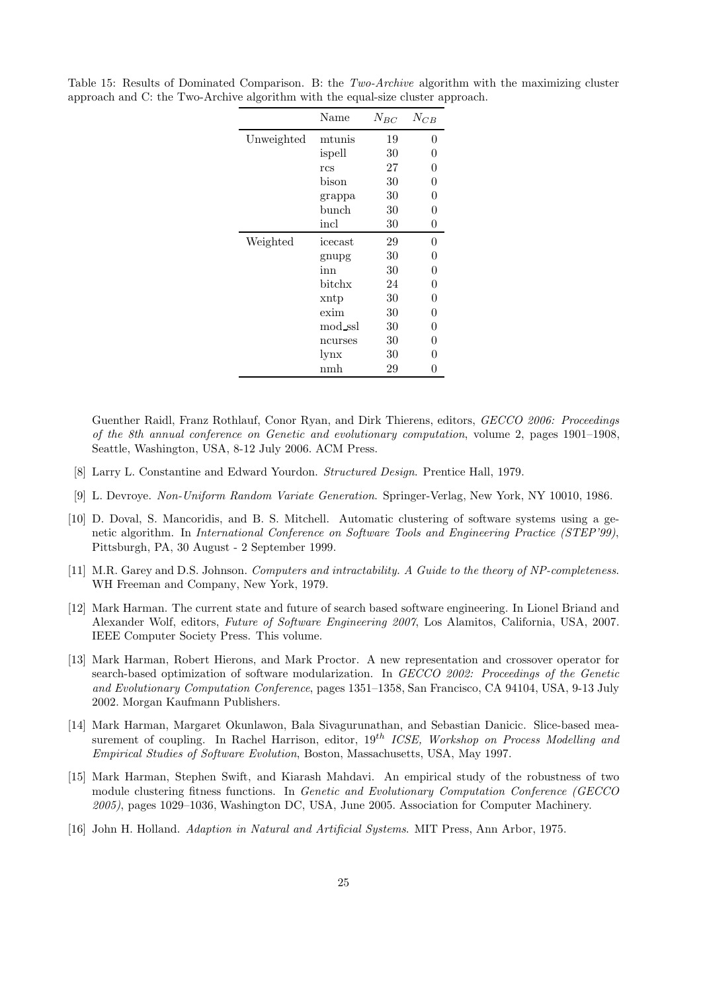Table 15: Results of Dominated Comparison. B: the Two-Archive algorithm with the maximizing cluster approach and C: the Two-Archive algorithm with the equal-size cluster approach.

|            | Name        | $N_{BC}$ | $N_{CB}$         |
|------------|-------------|----------|------------------|
| Unweighted | mtunis      | 19       | 0                |
|            | ispell      | 30       | 0                |
|            | rcs         | 27       | 0                |
|            | bison       | 30       | 0                |
|            | grappa      | 30       | 0                |
|            | bunch       | 30       | 0                |
|            | incl        | 30       | $\boldsymbol{0}$ |
| Weighted   | icecast     | 29       | 0                |
|            | gnupg       | 30       | 0                |
|            | inn         | 30       | 0                |
|            | bitchx      | 24       | 0                |
|            | xntp        | 30       | 0                |
|            | exim        | 30       | 0                |
|            | mod_ssl     | 30       | 0                |
|            | ncurses     | 30       | 0                |
|            | lynx        | 30       | 0                |
|            | ${\rm nmh}$ | 29       | 0                |

Guenther Raidl, Franz Rothlauf, Conor Ryan, and Dirk Thierens, editors, GECCO 2006: Proceedings of the 8th annual conference on Genetic and evolutionary computation, volume 2, pages 1901–1908, Seattle, Washington, USA, 8-12 July 2006. ACM Press.

- [8] Larry L. Constantine and Edward Yourdon. Structured Design. Prentice Hall, 1979.
- [9] L. Devroye. Non-Uniform Random Variate Generation. Springer-Verlag, New York, NY 10010, 1986.
- [10] D. Doval, S. Mancoridis, and B. S. Mitchell. Automatic clustering of software systems using a genetic algorithm. In International Conference on Software Tools and Engineering Practice (STEP'99), Pittsburgh, PA, 30 August - 2 September 1999.
- [11] M.R. Garey and D.S. Johnson. Computers and intractability. A Guide to the theory of NP-completeness. WH Freeman and Company, New York, 1979.
- [12] Mark Harman. The current state and future of search based software engineering. In Lionel Briand and Alexander Wolf, editors, Future of Software Engineering 2007, Los Alamitos, California, USA, 2007. IEEE Computer Society Press. This volume.
- [13] Mark Harman, Robert Hierons, and Mark Proctor. A new representation and crossover operator for search-based optimization of software modularization. In GECCO 2002: Proceedings of the Genetic and Evolutionary Computation Conference, pages 1351–1358, San Francisco, CA 94104, USA, 9-13 July 2002. Morgan Kaufmann Publishers.
- [14] Mark Harman, Margaret Okunlawon, Bala Sivagurunathan, and Sebastian Danicic. Slice-based measurement of coupling. In Rachel Harrison, editor,  $19^{th}$  ICSE, Workshop on Process Modelling and Empirical Studies of Software Evolution, Boston, Massachusetts, USA, May 1997.
- [15] Mark Harman, Stephen Swift, and Kiarash Mahdavi. An empirical study of the robustness of two module clustering fitness functions. In Genetic and Evolutionary Computation Conference (GECCO 2005), pages 1029–1036, Washington DC, USA, June 2005. Association for Computer Machinery.
- [16] John H. Holland. Adaption in Natural and Artificial Systems. MIT Press, Ann Arbor, 1975.